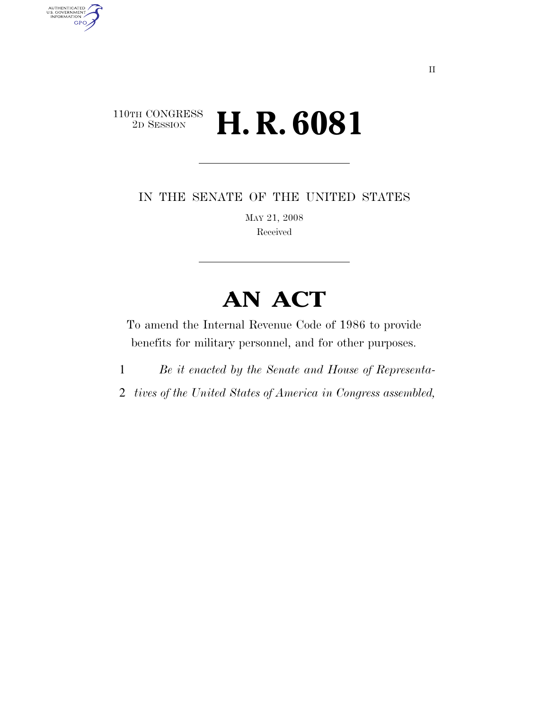### $\begin{array}{c} \text{110TH CONGRESS} \\ \text{2D Session} \end{array}$ 2D SESSION **H. R. 6081**

AUTHENTICATED<br>U.S. GOVERNMENT<br>INFORMATION

**GPO** 

IN THE SENATE OF THE UNITED STATES

MAY 21, 2008 Received

# **AN ACT**

To amend the Internal Revenue Code of 1986 to provide benefits for military personnel, and for other purposes.

- 1 *Be it enacted by the Senate and House of Representa-*
- 2 *tives of the United States of America in Congress assembled,*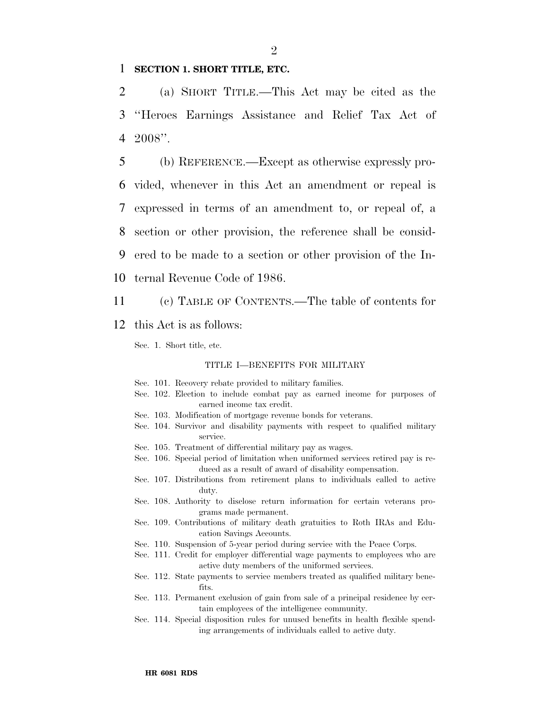### 1 **SECTION 1. SHORT TITLE, ETC.**

2 (a) SHORT TITLE.—This Act may be cited as the 3 ''Heroes Earnings Assistance and Relief Tax Act of 4 2008''.

 (b) REFERENCE.—Except as otherwise expressly pro- vided, whenever in this Act an amendment or repeal is expressed in terms of an amendment to, or repeal of, a section or other provision, the reference shall be consid- ered to be made to a section or other provision of the In-ternal Revenue Code of 1986.

11 (c) TABLE OF CONTENTS.—The table of contents for

12 this Act is as follows:

Sec. 1. Short title, etc.

#### TITLE I—BENEFITS FOR MILITARY

- Sec. 101. Recovery rebate provided to military families.
- Sec. 102. Election to include combat pay as earned income for purposes of earned income tax credit.
- Sec. 103. Modification of mortgage revenue bonds for veterans.
- Sec. 104. Survivor and disability payments with respect to qualified military service.
- Sec. 105. Treatment of differential military pay as wages.
- Sec. 106. Special period of limitation when uniformed services retired pay is reduced as a result of award of disability compensation.
- Sec. 107. Distributions from retirement plans to individuals called to active duty.
- Sec. 108. Authority to disclose return information for certain veterans programs made permanent.
- Sec. 109. Contributions of military death gratuities to Roth IRAs and Education Savings Accounts.
- Sec. 110. Suspension of 5-year period during service with the Peace Corps.
- Sec. 111. Credit for employer differential wage payments to employees who are active duty members of the uniformed services.
- Sec. 112. State payments to service members treated as qualified military benefits.
- Sec. 113. Permanent exclusion of gain from sale of a principal residence by certain employees of the intelligence community.
- Sec. 114. Special disposition rules for unused benefits in health flexible spending arrangements of individuals called to active duty.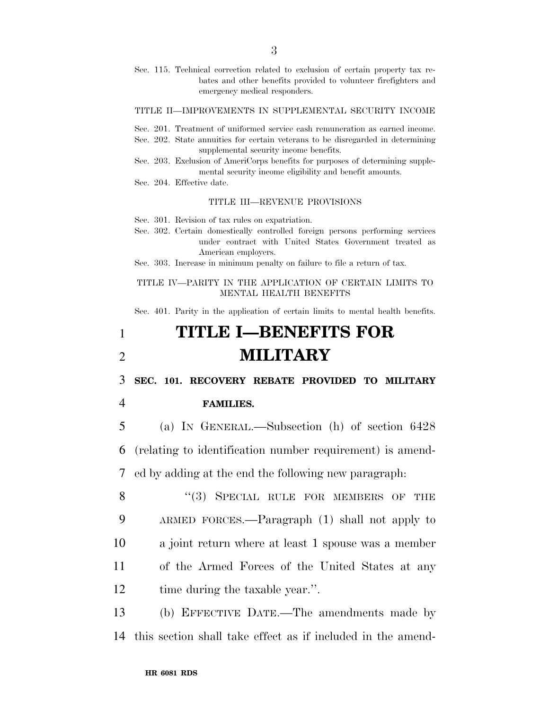Sec. 115. Technical correction related to exclusion of certain property tax rebates and other benefits provided to volunteer firefighters and emergency medical responders.

#### TITLE II—IMPROVEMENTS IN SUPPLEMENTAL SECURITY INCOME

- Sec. 201. Treatment of uniformed service cash remuneration as earned income.
- Sec. 202. State annuities for certain veterans to be disregarded in determining supplemental security income benefits.
- Sec. 203. Exclusion of AmeriCorps benefits for purposes of determining supplemental security income eligibility and benefit amounts.
- Sec. 204. Effective date.

#### TITLE III—REVENUE PROVISIONS

Sec. 301. Revision of tax rules on expatriation.

Sec. 302. Certain domestically controlled foreign persons performing services under contract with United States Government treated as American employers.

Sec. 303. Increase in minimum penalty on failure to file a return of tax.

TITLE IV—PARITY IN THE APPLICATION OF CERTAIN LIMITS TO MENTAL HEALTH BENEFITS

Sec. 401. Parity in the application of certain limits to mental health benefits.

## 1 **TITLE I—BENEFITS FOR**  2 **MILITARY**

3 **SEC. 101. RECOVERY REBATE PROVIDED TO MILITARY** 

### 4 **FAMILIES.**

5 (a) IN GENERAL.—Subsection (h) of section 6428 6 (relating to identification number requirement) is amend-7 ed by adding at the end the following new paragraph:

8 "(3) SPECIAL RULE FOR MEMBERS OF THE 9 ARMED FORCES.—Paragraph (1) shall not apply to 10 a joint return where at least 1 spouse was a member 11 of the Armed Forces of the United States at any 12 time during the taxable year.".

13 (b) EFFECTIVE DATE.—The amendments made by 14 this section shall take effect as if included in the amend-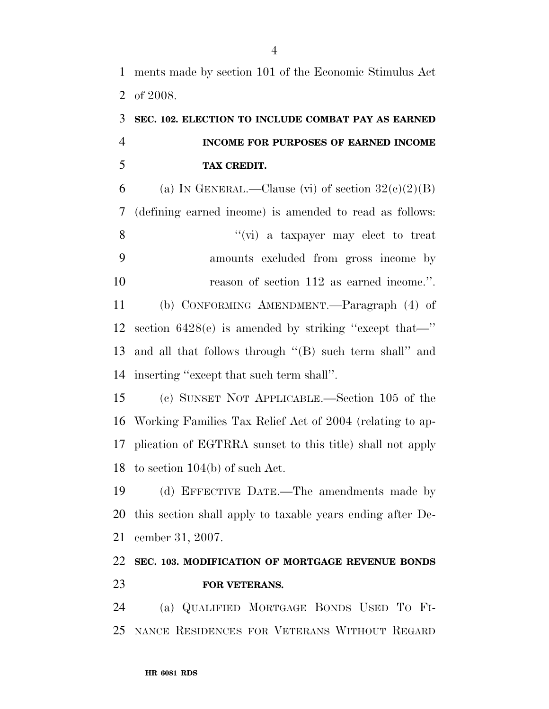## **SEC. 102. ELECTION TO INCLUDE COMBAT PAY AS EARNED INCOME FOR PURPOSES OF EARNED INCOME TAX CREDIT.**

6 (a) IN GENERAL.—Clause (vi) of section  $32(e)(2)(B)$  (defining earned income) is amended to read as follows: 8 ''(vi) a taxpayer may elect to treat amounts excluded from gross income by 10 reason of section 112 as earned income.". (b) CONFORMING AMENDMENT.—Paragraph (4) of section 6428(e) is amended by striking ''except that—'' and all that follows through ''(B) such term shall'' and inserting ''except that such term shall''.

 (c) SUNSET NOT APPLICABLE.—Section 105 of the Working Families Tax Relief Act of 2004 (relating to ap- plication of EGTRRA sunset to this title) shall not apply to section 104(b) of such Act.

 (d) EFFECTIVE DATE.—The amendments made by this section shall apply to taxable years ending after De-cember 31, 2007.

### **SEC. 103. MODIFICATION OF MORTGAGE REVENUE BONDS FOR VETERANS.**

 (a) QUALIFIED MORTGAGE BONDS USED TO FI-NANCE RESIDENCES FOR VETERANS WITHOUT REGARD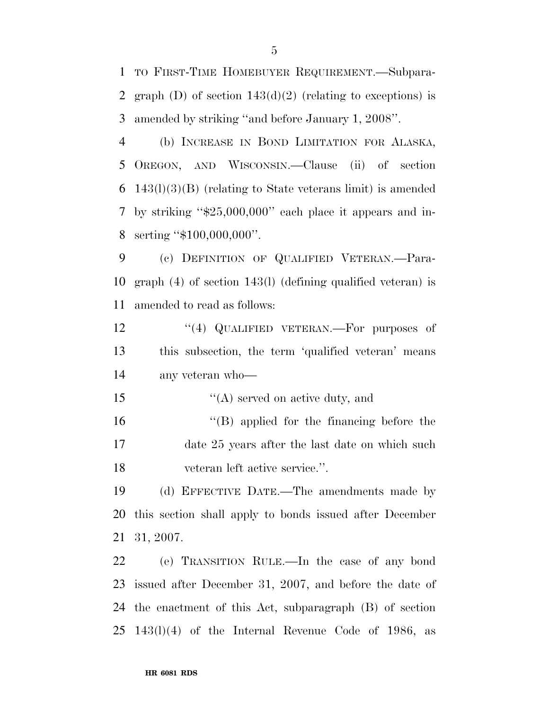TO FIRST-TIME HOMEBUYER REQUIREMENT.—Subpara-2 graph (D) of section  $143(d)(2)$  (relating to exceptions) is amended by striking ''and before January 1, 2008''.

 (b) INCREASE IN BOND LIMITATION FOR ALASKA, OREGON, AND WISCONSIN.—Clause (ii) of section 143(l)(3)(B) (relating to State veterans limit) is amended by striking ''\$25,000,000'' each place it appears and in-serting ''\$100,000,000''.

 (c) DEFINITION OF QUALIFIED VETERAN.—Para- graph (4) of section 143(l) (defining qualified veteran) is amended to read as follows:

12 "(4) QUALIFIED VETERAN.—For purposes of this subsection, the term 'qualified veteran' means any veteran who—

15  $\langle (A)$  served on active duty, and

 ''(B) applied for the financing before the date 25 years after the last date on which such veteran left active service.''.

 (d) EFFECTIVE DATE.—The amendments made by this section shall apply to bonds issued after December 31, 2007.

 (e) TRANSITION RULE.—In the case of any bond issued after December 31, 2007, and before the date of the enactment of this Act, subparagraph (B) of section 143(l)(4) of the Internal Revenue Code of 1986, as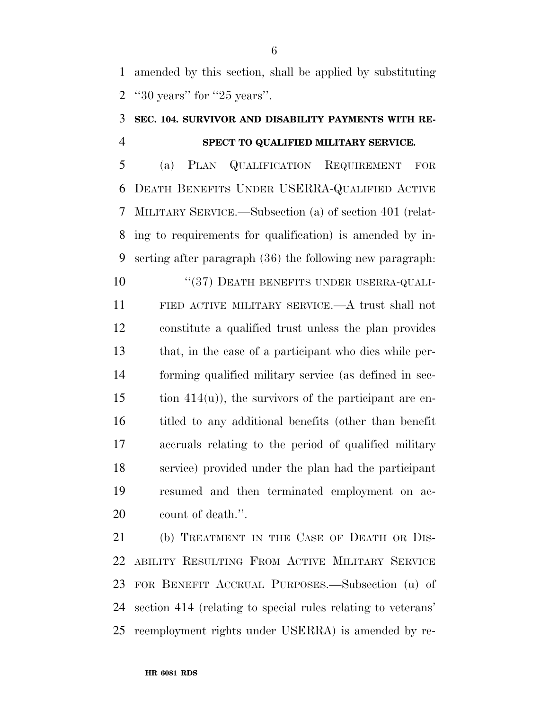amended by this section, shall be applied by substituting ''30 years'' for ''25 years''.

### **SEC. 104. SURVIVOR AND DISABILITY PAYMENTS WITH RE-SPECT TO QUALIFIED MILITARY SERVICE.**

 (a) PLAN QUALIFICATION REQUIREMENT FOR DEATH BENEFITS UNDER USERRA-QUALIFIED ACTIVE MILITARY SERVICE.—Subsection (a) of section 401 (relat- ing to requirements for qualification) is amended by in-serting after paragraph (36) the following new paragraph:

10 "(37) DEATH BENEFITS UNDER USERRA-QUALI- FIED ACTIVE MILITARY SERVICE.—A trust shall not constitute a qualified trust unless the plan provides that, in the case of a participant who dies while per- forming qualified military service (as defined in sec- tion 414(u)), the survivors of the participant are en- titled to any additional benefits (other than benefit accruals relating to the period of qualified military service) provided under the plan had the participant resumed and then terminated employment on ac-count of death.''.

21 (b) TREATMENT IN THE CASE OF DEATH OR DIS- ABILITY RESULTING FROM ACTIVE MILITARY SERVICE FOR BENEFIT ACCRUAL PURPOSES.—Subsection (u) of section 414 (relating to special rules relating to veterans' reemployment rights under USERRA) is amended by re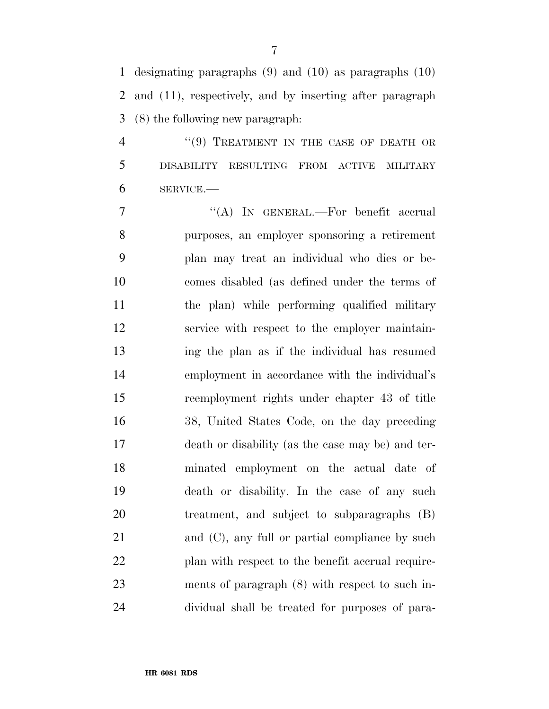designating paragraphs (9) and (10) as paragraphs (10) and (11), respectively, and by inserting after paragraph (8) the following new paragraph:

4 "(9) TREATMENT IN THE CASE OF DEATH OR DISABILITY RESULTING FROM ACTIVE MILITARY SERVICE.—

7 "'(A) In GENERAL.—For benefit accrual purposes, an employer sponsoring a retirement plan may treat an individual who dies or be- comes disabled (as defined under the terms of the plan) while performing qualified military service with respect to the employer maintain- ing the plan as if the individual has resumed employment in accordance with the individual's reemployment rights under chapter 43 of title 38, United States Code, on the day preceding death or disability (as the case may be) and ter- minated employment on the actual date of death or disability. In the case of any such treatment, and subject to subparagraphs (B) 21 and (C), any full or partial compliance by such 22 plan with respect to the benefit accrual require- ments of paragraph (8) with respect to such in-dividual shall be treated for purposes of para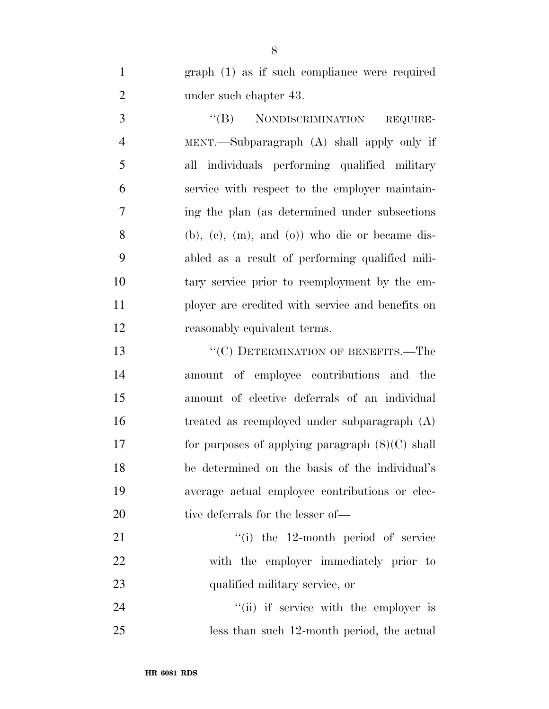graph (1) as if such compliance were required 2 under such chapter 43.

3 "(B) NONDISCRIMINATION REQUIRE- MENT.—Subparagraph (A) shall apply only if all individuals performing qualified military service with respect to the employer maintain- ing the plan (as determined under subsections (b), (c), (m), and (o)) who die or became dis- abled as a result of performing qualified mili- tary service prior to reemployment by the em- ployer are credited with service and benefits on reasonably equivalent terms.

13 "'(C) DETERMINATION OF BENEFITS.—The amount of employee contributions and the amount of elective deferrals of an individual treated as reemployed under subparagraph (A) for purposes of applying paragraph (8)(C) shall be determined on the basis of the individual's average actual employee contributions or elec-20 tive deferrals for the lesser of—

21 ''(i) the 12-month period of service with the employer immediately prior to qualified military service, or

24 ''(ii) if service with the employer is less than such 12-month period, the actual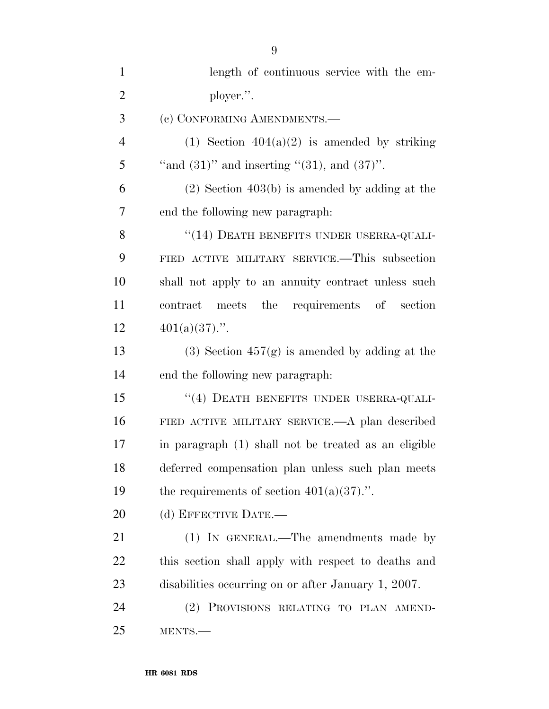| $\mathbf{1}$   | length of continuous service with the em-            |
|----------------|------------------------------------------------------|
| $\overline{2}$ | ployer.".                                            |
| 3              | (c) CONFORMING AMENDMENTS.-                          |
| $\overline{4}$ | (1) Section $404(a)(2)$ is amended by striking       |
| 5              | "and $(31)$ " and inserting " $(31)$ , and $(37)$ ". |
| 6              | $(2)$ Section 403(b) is amended by adding at the     |
| 7              | end the following new paragraph:                     |
| 8              | "(14) DEATH BENEFITS UNDER USERRA-QUALI-             |
| 9              | FIED ACTIVE MILITARY SERVICE.—This subsection        |
| 10             | shall not apply to an annuity contract unless such   |
| 11             | contract meets the requirements of section           |
| 12             | $401(a)(37)$ .".                                     |
| 13             | (3) Section $457(g)$ is amended by adding at the     |
| 14             | end the following new paragraph.                     |
| 15             | "(4) DEATH BENEFITS UNDER USERRA-QUALI-              |
| 16             | FIED ACTIVE MILITARY SERVICE.—A plan described       |
| 17             | in paragraph (1) shall not be treated as an eligible |
| 18             | deferred compensation plan unless such plan meets    |
| 19             | the requirements of section $401(a)(37)$ .".         |
| 20             | (d) EFFECTIVE DATE.-                                 |
| 21             | (1) IN GENERAL.—The amendments made by               |
| 22             | this section shall apply with respect to deaths and  |
| 23             | disabilities occurring on or after January 1, 2007.  |
| 24             | PROVISIONS RELATING TO PLAN AMEND-<br>(2)            |
| 25             | MENTS.                                               |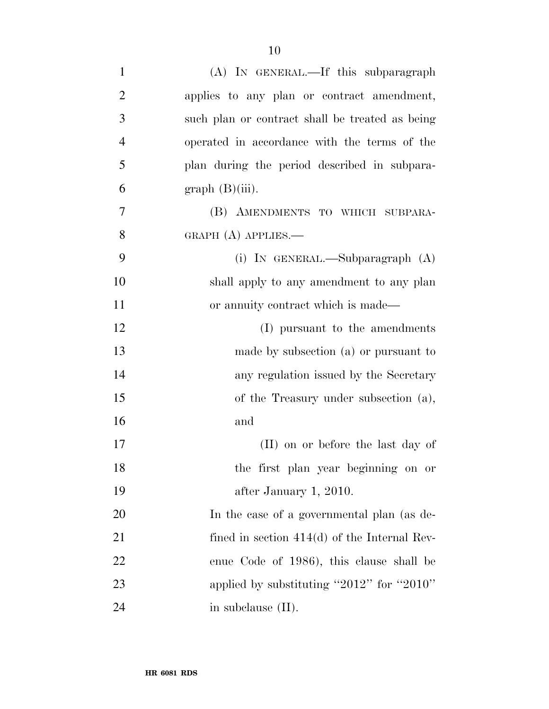| $\mathbf{1}$   | (A) IN GENERAL.—If this subparagraph            |
|----------------|-------------------------------------------------|
| $\overline{2}$ | applies to any plan or contract amendment,      |
| 3              | such plan or contract shall be treated as being |
| $\overline{4}$ | operated in accordance with the terms of the    |
| 5              | plan during the period described in subpara-    |
| 6              | graph(B(iii)).                                  |
| $\overline{7}$ | (B) AMENDMENTS TO WHICH SUBPARA-                |
| 8              | GRAPH $(A)$ APPLIES.—                           |
| 9              | (i) IN GENERAL.—Subparagraph (A)                |
| 10             | shall apply to any amendment to any plan        |
| 11             | or annuity contract which is made-              |
| 12             | (I) pursuant to the amendments                  |
| 13             | made by subsection (a) or pursuant to           |
| 14             | any regulation issued by the Secretary          |
| 15             | of the Treasury under subsection (a),           |
| 16             | and                                             |
| 17             | (II) on or before the last day of               |
| 18             | the first plan year beginning on or             |
| 19             | after January 1, 2010.                          |
| 20             | In the case of a governmental plan (as de-      |
| 21             | fined in section $414(d)$ of the Internal Rev-  |
| 22             | enue Code of 1986), this clause shall be        |
| 23             | applied by substituting "2012" for "2010"       |
| 24             | in subclause (II).                              |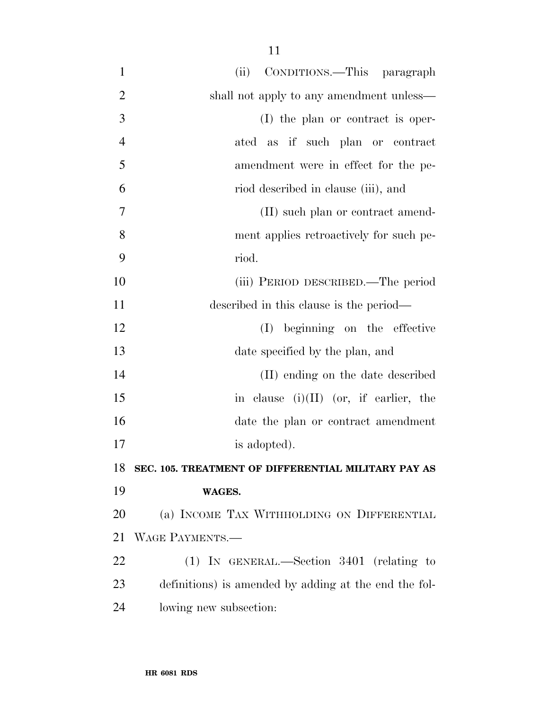| $\mathbf{1}$   | (ii) CONDITIONS.—This paragraph                       |
|----------------|-------------------------------------------------------|
| $\overline{2}$ | shall not apply to any amendment unless—              |
| 3              | (I) the plan or contract is oper-                     |
| $\overline{4}$ | ated as if such plan or contract                      |
| 5              | amendment were in effect for the pe-                  |
| 6              | riod described in clause (iii), and                   |
| 7              | (II) such plan or contract amend-                     |
| 8              | ment applies retroactively for such pe-               |
| 9              | riod.                                                 |
| 10             | (iii) PERIOD DESCRIBED.—The period                    |
| 11             | described in this clause is the period—               |
| 12             | beginning on the effective<br>(I)                     |
| 13             | date specified by the plan, and                       |
| 14             | (II) ending on the date described                     |
| 15             | in clause $(i)(II)$ (or, if earlier, the              |
| 16             | date the plan or contract amendment                   |
| 17             | is adopted).                                          |
| 18             | SEC. 105. TREATMENT OF DIFFERENTIAL MILITARY PAY AS   |
| 19             | WAGES.                                                |
| 20             | (a) INCOME TAX WITHHOLDING ON DIFFERENTIAL            |
| 21             | WAGE PAYMENTS.-                                       |
| 22             | $(1)$ IN GENERAL.—Section 3401 (relating to           |
| 23             | definitions) is amended by adding at the end the fol- |
| 24             | lowing new subsection:                                |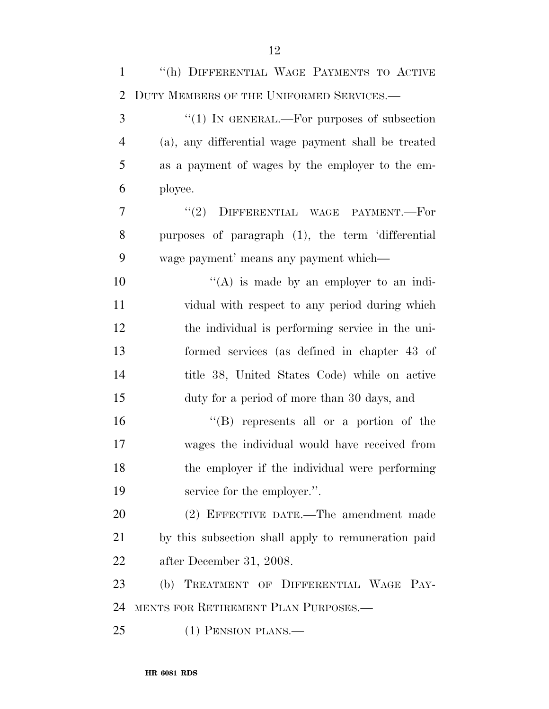| $\mathbf{1}$   | "(h) DIFFERENTIAL WAGE PAYMENTS TO ACTIVE           |
|----------------|-----------------------------------------------------|
| 2              | DUTY MEMBERS OF THE UNIFORMED SERVICES.-            |
| 3              | "(1) IN GENERAL.—For purposes of subsection         |
| $\overline{4}$ | (a), any differential wage payment shall be treated |
| 5              | as a payment of wages by the employer to the em-    |
| 6              | ployee.                                             |
| 7              | "(2) DIFFERENTIAL WAGE PAYMENT.-For                 |
| 8              | purposes of paragraph (1), the term 'differential   |
| 9              | wage payment' means any payment which—              |
| 10             | $\lq\lq$ is made by an employer to an indi-         |
| 11             | vidual with respect to any period during which      |
| 12             | the individual is performing service in the uni-    |
| 13             | formed services (as defined in chapter 43 of        |
| 14             | title 38, United States Code) while on active       |
| 15             | duty for a period of more than 30 days, and         |
| 16             | $\lq\lq (B)$ represents all or a portion of the     |
| 17             | wages the individual would have received from       |
| 18             | the employer if the individual were performing      |
| 19             | service for the employer.".                         |
| 20             | (2) EFFECTIVE DATE.—The amendment made              |
| 21             | by this subsection shall apply to remuneration paid |
| 22             | after December 31, 2008.                            |
| 23             | (b) TREATMENT OF DIFFERENTIAL WAGE PAY-             |
| 24             | MENTS FOR RETIREMENT PLAN PURPOSES.—                |
| 25             | $(1)$ PENSION PLANS.—                               |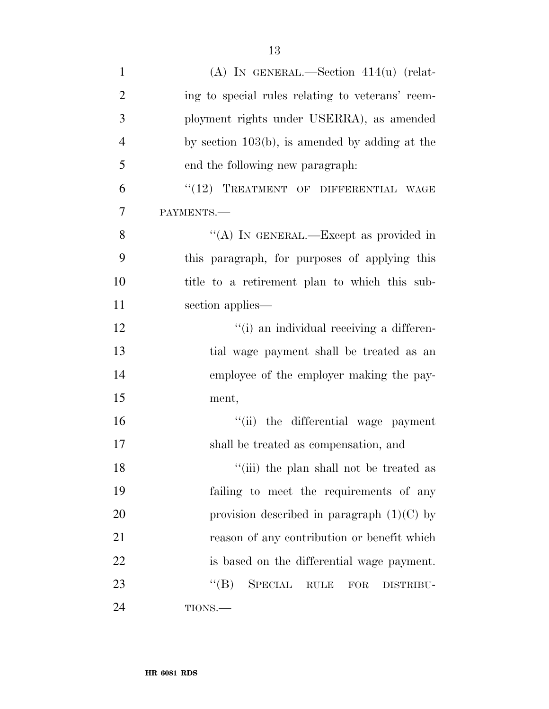| $\mathbf{1}$   | (A) IN GENERAL.—Section $414(u)$ (relat-                           |
|----------------|--------------------------------------------------------------------|
| $\overline{2}$ | ing to special rules relating to veterans' reem-                   |
| 3              | ployment rights under USERRA), as amended                          |
| $\overline{4}$ | by section $103(b)$ , is amended by adding at the                  |
| 5              | end the following new paragraph.                                   |
| 6              | "(12) TREATMENT OF DIFFERENTIAL WAGE                               |
| 7              | PAYMENTS.-                                                         |
| 8              | "(A) IN GENERAL.—Except as provided in                             |
| 9              | this paragraph, for purposes of applying this                      |
| 10             | title to a retirement plan to which this sub-                      |
| 11             | section applies—                                                   |
| 12             | "(i) an individual receiving a differen-                           |
| 13             | tial wage payment shall be treated as an                           |
| 14             | employee of the employer making the pay-                           |
| 15             | ment,                                                              |
| 16             | "(ii) the differential wage payment                                |
| 17             | shall be treated as compensation, and                              |
| 18             | "(iii) the plan shall not be treated as                            |
| 19             | failing to meet the requirements of any                            |
| 20             | provision described in paragraph $(1)(C)$ by                       |
| 21             | reason of any contribution or benefit which                        |
| 22             | is based on the differential wage payment.                         |
| 23             | $\lq\lq (B)$<br><b>SPECIAL</b><br>RULE<br>${\rm FOR}$<br>DISTRIBU- |
| 24             | TIONS.—                                                            |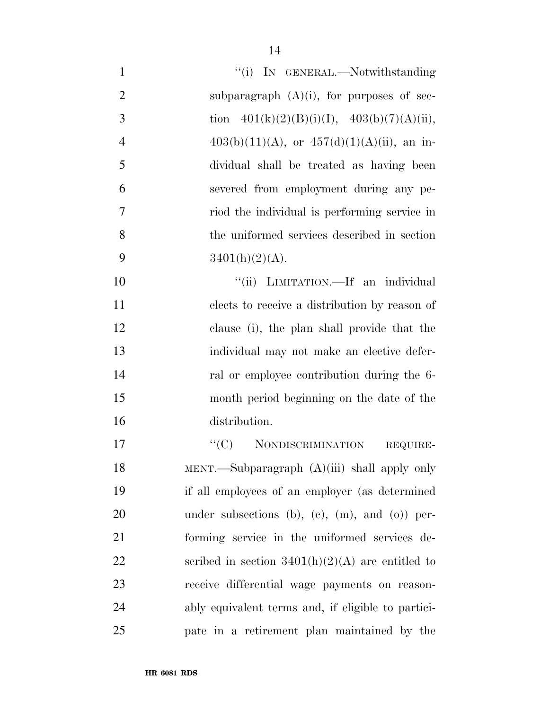| $\mathbf{1}$   | "(i) IN GENERAL.—Notwithstanding                   |
|----------------|----------------------------------------------------|
| $\overline{2}$ | subparagraph $(A)(i)$ , for purposes of sec-       |
| 3              | tion $401(k)(2)(B)(i)(I), 403(b)(7)(A)(ii),$       |
| $\overline{4}$ | $403(b)(11)(A)$ , or $457(d)(1)(A)(ii)$ , an in-   |
| 5              | dividual shall be treated as having been           |
| 6              | severed from employment during any pe-             |
| $\overline{7}$ | riod the individual is performing service in       |
| 8              | the uniformed services described in section        |
| 9              | $3401(h)(2)(A)$ .                                  |
| 10             | "(ii) LIMITATION.—If an individual                 |
| 11             | elects to receive a distribution by reason of      |
| 12             | clause (i), the plan shall provide that the        |
| 13             | individual may not make an elective defer-         |
| 14             | ral or employee contribution during the 6-         |
| 15             | month period beginning on the date of the          |
| 16             | distribution.                                      |
| 17             | "(C) NONDISCRIMINATION<br>REQUIRE-                 |
| 18             | MENT.—Subparagraph (A)(iii) shall apply only       |
| 19             | if all employees of an employer (as determined     |
| 20             | under subsections (b), (c), $(m)$ , and $(o)$ per- |
| 21             | forming service in the uniformed services de-      |
| 22             | scribed in section $3401(h)(2)(A)$ are entitled to |
| 23             | receive differential wage payments on reason-      |
| 24             | ably equivalent terms and, if eligible to partici- |
| 25             | pate in a retirement plan maintained by the        |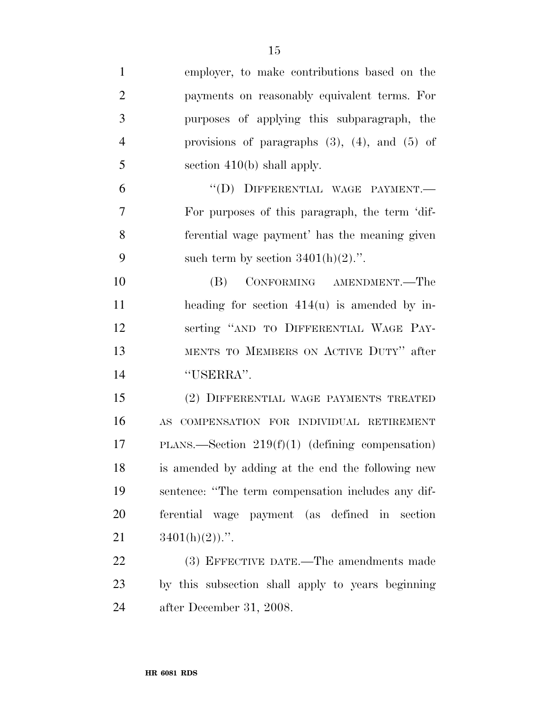| $\mathbf{1}$   | employer, to make contributions based on the          |
|----------------|-------------------------------------------------------|
| $\overline{2}$ | payments on reasonably equivalent terms. For          |
| 3              | purposes of applying this subparagraph, the           |
| $\overline{4}$ | provisions of paragraphs $(3)$ , $(4)$ , and $(5)$ of |
| 5              | section $410(b)$ shall apply.                         |
| 6              | "(D) DIFFERENTIAL WAGE PAYMENT.-                      |
| 7              | For purposes of this paragraph, the term 'dif-        |
| 8              | ferential wage payment' has the meaning given         |
| 9              | such term by section $3401(h)(2)$ .".                 |
| 10             | CONFORMING AMENDMENT.—The<br>(B)                      |
| 11             | heading for section $414(u)$ is amended by in-        |
| 12             | serting "AND TO DIFFERENTIAL WAGE PAY-                |
| 13             | MENTS TO MEMBERS ON ACTIVE DUTY" after                |
| 14             | "USERRA".                                             |
| 15             | (2) DIFFERENTIAL WAGE PAYMENTS TREATED                |
| 16             | AS COMPENSATION FOR INDIVIDUAL RETIREMENT             |
| 17             | PLANS.—Section $219(f)(1)$ (defining compensation)    |
| 18             | is amended by adding at the end the following new     |
| 19             | sentence: "The term compensation includes any dif-    |
| 20             | ferential wage payment (as defined in section         |
| 21             | $3401(h)(2)$ .".                                      |
| 22             | (3) EFFECTIVE DATE.—The amendments made               |
| 23             | by this subsection shall apply to years beginning     |
| 24             | after December 31, 2008.                              |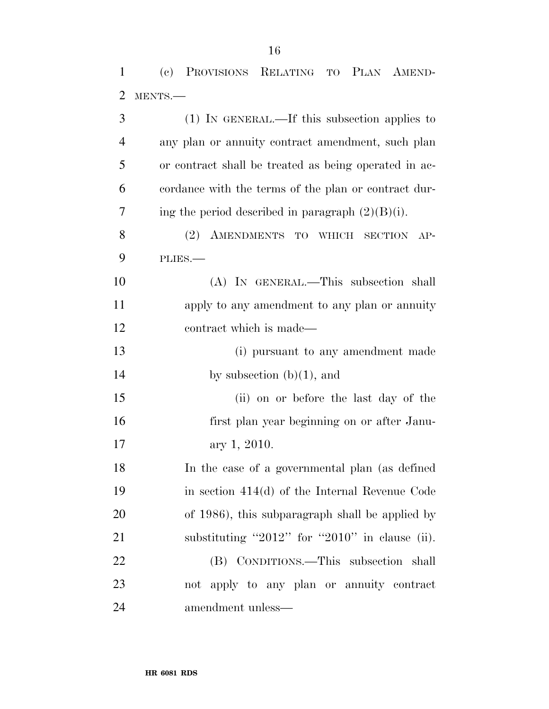(c) PROVISIONS RELATING TO PLAN AMEND-

 MENTS.— (1) IN GENERAL.—If this subsection applies to any plan or annuity contract amendment, such plan or contract shall be treated as being operated in ac- cordance with the terms of the plan or contract dur-7 ing the period described in paragraph  $(2)(B)(i)$ .

8 (2) AMENDMENTS TO WHICH SECTION AP-PLIES.—

 (A) IN GENERAL.—This subsection shall apply to any amendment to any plan or annuity contract which is made—

13 (i) pursuant to any amendment made 14 by subsection  $(b)(1)$ , and

 (ii) on or before the last day of the first plan year beginning on or after Janu-ary 1, 2010.

 In the case of a governmental plan (as defined in section 414(d) of the Internal Revenue Code of 1986), this subparagraph shall be applied by substituting ''2012'' for ''2010'' in clause (ii). (B) CONDITIONS.—This subsection shall not apply to any plan or annuity contract

amendment unless—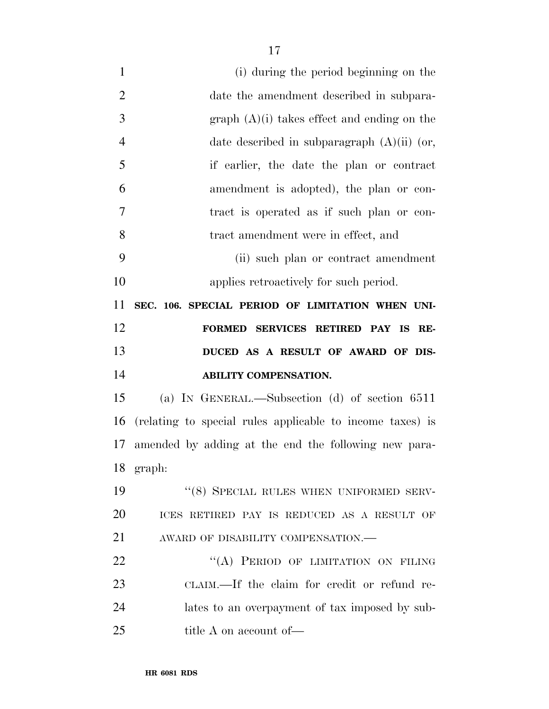(i) during the period beginning on the date the amendment described in subpara- $3 \qquad \qquad \text{graph} \; (\mathrm{A})(i) \; \text{takes effect and ending on the}$  date described in subparagraph (A)(ii) (or, if earlier, the date the plan or contract amendment is adopted), the plan or con- tract is operated as if such plan or con- tract amendment were in effect, and (ii) such plan or contract amendment applies retroactively for such period. **SEC. 106. SPECIAL PERIOD OF LIMITATION WHEN UNI- FORMED SERVICES RETIRED PAY IS RE- DUCED AS A RESULT OF AWARD OF DIS- ABILITY COMPENSATION.**  (a) IN GENERAL.—Subsection (d) of section 6511 (relating to special rules applicable to income taxes) is

amended by adding at the end the following new para-

19 "(8) SPECIAL RULES WHEN UNIFORMED SERV-

ICES RETIRED PAY IS REDUCED AS A RESULT OF

22 "(A) PERIOD OF LIMITATION ON FILING

CLAIM.—If the claim for credit or refund re-

lates to an overpayment of tax imposed by sub-

AWARD OF DISABILITY COMPENSATION.—

**HR 6081 RDS** 

25 title A on account of —

graph: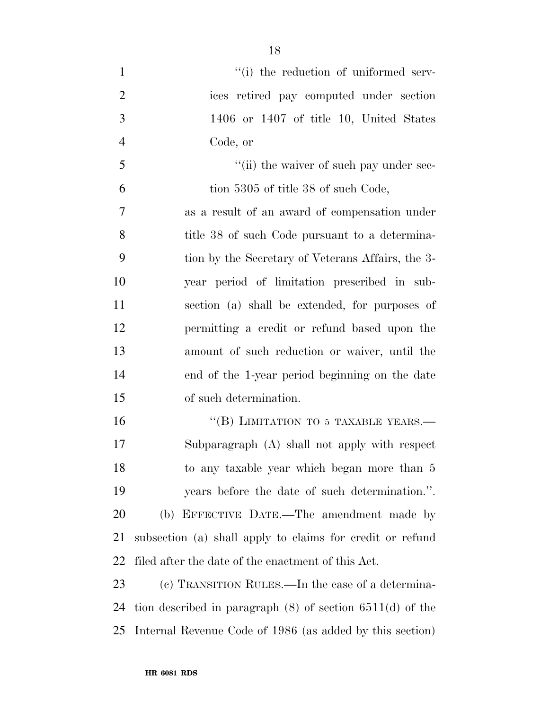$\frac{1}{1}$  the reduction of uniformed serv- ices retired pay computed under section 1406 or 1407 of title 10, United States Code, or  $\frac{1}{10}$  the waiver of such pay under sec- tion 5305 of title 38 of such Code, as a result of an award of compensation under 8 title 38 of such Code pursuant to a determina- tion by the Secretary of Veterans Affairs, the 3- year period of limitation prescribed in sub- section (a) shall be extended, for purposes of permitting a credit or refund based upon the amount of such reduction or waiver, until the end of the 1-year period beginning on the date of such determination. 16 "(B) LIMITATION TO 5 TAXABLE YEARS.— Subparagraph (A) shall not apply with respect to any taxable year which began more than 5

 years before the date of such determination.''. (b) EFFECTIVE DATE.—The amendment made by subsection (a) shall apply to claims for credit or refund filed after the date of the enactment of this Act.

 (c) TRANSITION RULES.—In the case of a determina- tion described in paragraph (8) of section 6511(d) of the Internal Revenue Code of 1986 (as added by this section)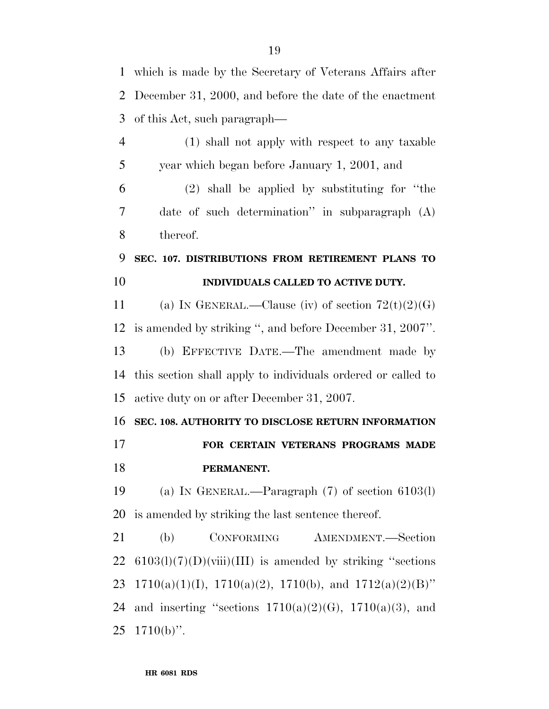which is made by the Secretary of Veterans Affairs after December 31, 2000, and before the date of the enactment of this Act, such paragraph—

- (1) shall not apply with respect to any taxable year which began before January 1, 2001, and (2) shall be applied by substituting for ''the date of such determination'' in subparagraph (A) thereof.
- **SEC. 107. DISTRIBUTIONS FROM RETIREMENT PLANS TO INDIVIDUALS CALLED TO ACTIVE DUTY.**

11 (a) IN GENERAL.—Clause (iv) of section  $72(t)(2)(G)$  is amended by striking '', and before December 31, 2007''. (b) EFFECTIVE DATE.—The amendment made by this section shall apply to individuals ordered or called to active duty on or after December 31, 2007.

## **SEC. 108. AUTHORITY TO DISCLOSE RETURN INFORMATION FOR CERTAIN VETERANS PROGRAMS MADE PERMANENT.**

 (a) IN GENERAL.—Paragraph (7) of section 6103(l) is amended by striking the last sentence thereof.

 (b) CONFORMING AMENDMENT.—Section 22 6103(l)(7)(D)(viii)(III) is amended by striking "sections 23 1710(a)(1)(I), 1710(a)(2), 1710(b), and  $1712(a)(2)(B)$ " 24 and inserting "sections  $1710(a)(2)(G)$ ,  $1710(a)(3)$ , and  $25 \text{ } 1710(b)$ ".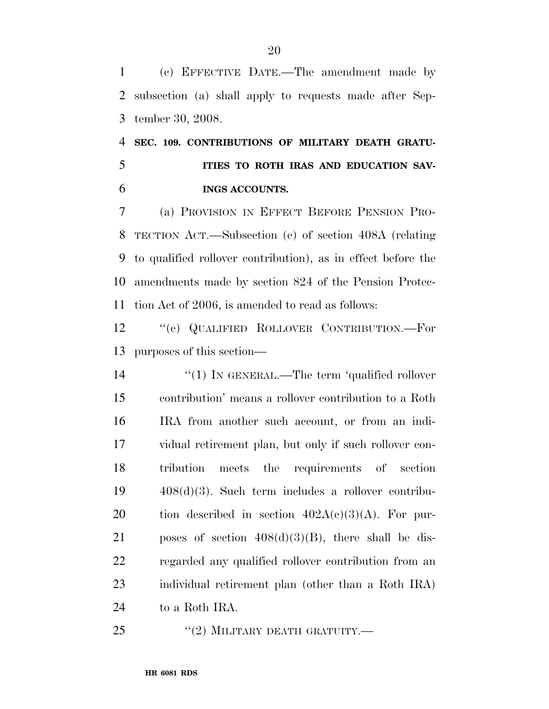(c) EFFECTIVE DATE.—The amendment made by subsection (a) shall apply to requests made after Sep-tember 30, 2008.

 **SEC. 109. CONTRIBUTIONS OF MILITARY DEATH GRATU- ITIES TO ROTH IRAS AND EDUCATION SAV-INGS ACCOUNTS.** 

 (a) PROVISION IN EFFECT BEFORE PENSION PRO- TECTION ACT.—Subsection (e) of section 408A (relating to qualified rollover contribution), as in effect before the amendments made by section 824 of the Pension Protec-tion Act of 2006, is amended to read as follows:

 ''(e) QUALIFIED ROLLOVER CONTRIBUTION.—For purposes of this section—

 $\frac{1}{2}$  (1) In GENERAL.—The term 'qualified rollover contribution' means a rollover contribution to a Roth IRA from another such account, or from an indi- vidual retirement plan, but only if such rollover con- tribution meets the requirements of section 408(d)(3). Such term includes a rollover contribu-20 tion described in section  $402A(c)(3)(A)$ . For pur-21 poses of section  $408(d)(3)(B)$ , there shall be dis- regarded any qualified rollover contribution from an individual retirement plan (other than a Roth IRA) to a Roth IRA.

25 "(2) MILITARY DEATH GRATUITY.—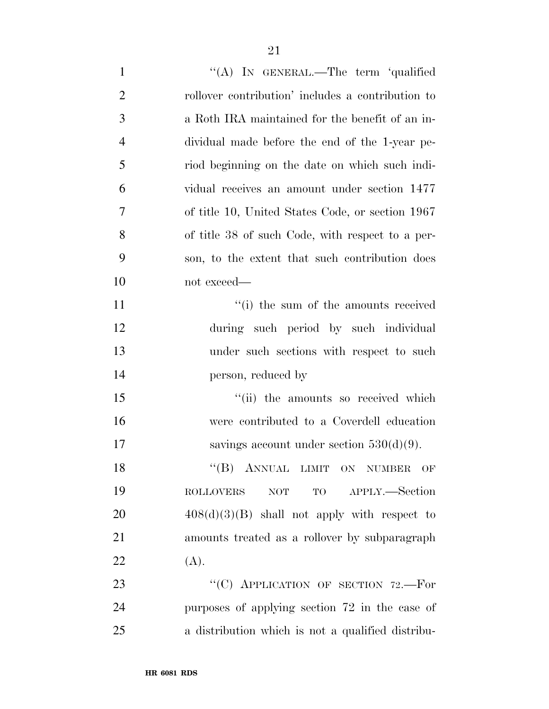| $\mathbf{1}$   | "(A) IN GENERAL.—The term 'qualified              |
|----------------|---------------------------------------------------|
| $\overline{2}$ | rollover contribution' includes a contribution to |
| 3              | a Roth IRA maintained for the benefit of an in-   |
| $\overline{4}$ | dividual made before the end of the 1-year pe-    |
| 5              | riod beginning on the date on which such indi-    |
| 6              | vidual receives an amount under section 1477      |
| $\overline{7}$ | of title 10, United States Code, or section 1967  |
| 8              | of title 38 of such Code, with respect to a per-  |
| 9              | son, to the extent that such contribution does    |
| 10             | not exceed—                                       |
| 11             | "(i) the sum of the amounts received              |
| 12             | during such period by such individual             |
| 13             | under such sections with respect to such          |
| 14             | person, reduced by                                |
| 15             | "(ii) the amounts so received which               |
| 16             | were contributed to a Coverdell education         |
| 17             | savings account under section $530(d)(9)$ .       |
| 18             | "(B) ANNUAL LIMIT ON NUMBER<br>OF                 |
| 19             | TO APPLY.—Section<br>$\sf{ROLLOVERS}$<br>NOT      |
| 20             | $408(d)(3)(B)$ shall not apply with respect to    |
| 21             | amounts treated as a rollover by subparagraph     |
| 22             | (A).                                              |
| 23             | "(C) APPLICATION OF SECTION 72.-For               |
| 24             | purposes of applying section 72 in the case of    |
| 25             | a distribution which is not a qualified distribu- |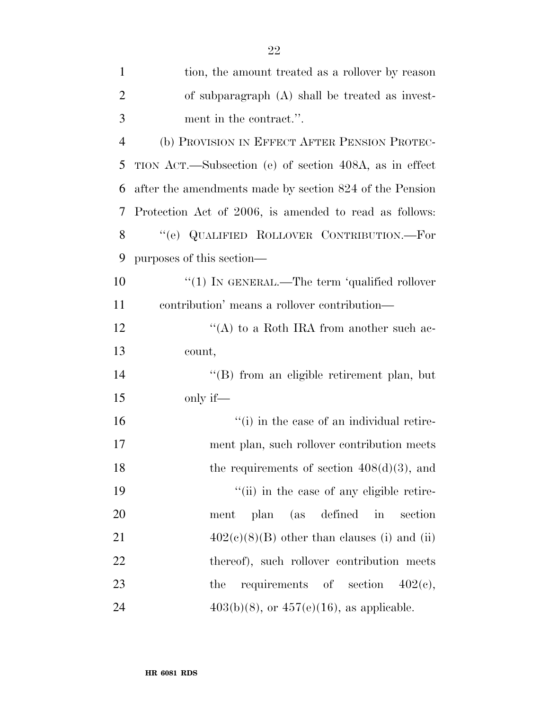| $\mathbf{1}$   | tion, the amount treated as a rollover by reason        |
|----------------|---------------------------------------------------------|
| $\overline{2}$ | of subparagraph $(A)$ shall be treated as invest-       |
| 3              | ment in the contract.".                                 |
| $\overline{4}$ | (b) PROVISION IN EFFECT AFTER PENSION PROTEC-           |
| 5              | TION ACT.—Subsection (e) of section 408A, as in effect  |
| 6              | after the amendments made by section 824 of the Pension |
| 7              | Protection Act of 2006, is amended to read as follows:  |
| 8              | "(e) QUALIFIED ROLLOVER CONTRIBUTION.—For               |
| 9              | purposes of this section—                               |
| 10             | "(1) IN GENERAL.—The term 'qualified rollover           |
| 11             | contribution' means a rollover contribution—            |
| 12             | "(A) to a Roth IRA from another such ac-                |
| 13             | count,                                                  |
| 14             | "(B) from an eligible retirement plan, but              |
| 15             | only if—                                                |
| 16             | "(i) in the case of an individual retire-               |
| 17             | ment plan, such rollover contribution meets             |
| 18             | the requirements of section $408(d)(3)$ , and           |
| 19             | "(ii) in the case of any eligible retire-               |
| 20             | (as defined<br>in<br><sub>plan</sub><br>section<br>ment |
| 21             | $402(c)(8)(B)$ other than clauses (i) and (ii)          |
| 22             | thereof), such rollover contribution meets              |
| 23             | requirements of section $402(c)$ ,<br>the               |
| 24             | $403(b)(8)$ , or $457(e)(16)$ , as applicable.          |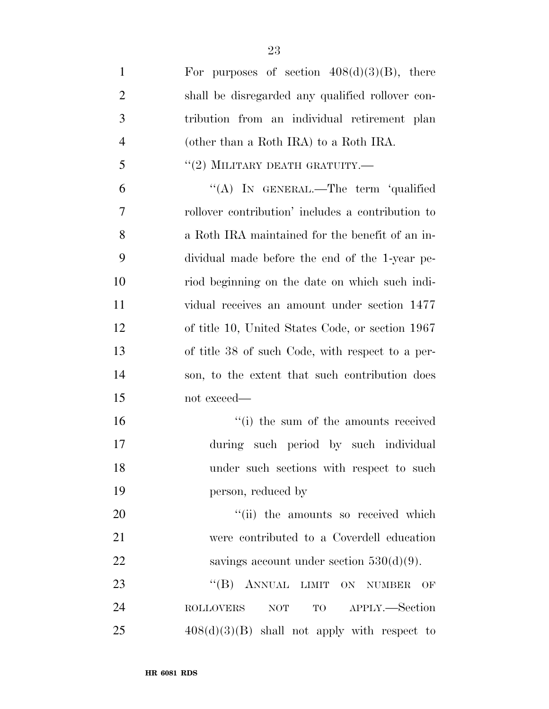| $\mathbf{1}$   | For purposes of section $408(d)(3)(B)$ , there      |
|----------------|-----------------------------------------------------|
| $\overline{2}$ | shall be disregarded any qualified rollover con-    |
| 3              | tribution from an individual retirement plan        |
| $\overline{4}$ | (other than a Roth IRA) to a Roth IRA.              |
| 5              | "(2) MILITARY DEATH GRATUITY.—                      |
| 6              | "(A) IN GENERAL.—The term 'qualified                |
| 7              | rollover contribution' includes a contribution to   |
| 8              | a Roth IRA maintained for the benefit of an in-     |
| 9              | dividual made before the end of the 1-year pe-      |
| 10             | riod beginning on the date on which such indi-      |
| 11             | vidual receives an amount under section 1477        |
| 12             | of title 10, United States Code, or section 1967    |
| 13             | of title 38 of such Code, with respect to a per-    |
| 14             | son, to the extent that such contribution does      |
| 15             | not exceed—                                         |
| 16             | "(i) the sum of the amounts received                |
| 17             | during such period by such individual               |
| 18             | under such sections with respect to such            |
| 19             | person, reduced by                                  |
| 20             | "(ii) the amounts so received which                 |
| 21             | were contributed to a Coverdell education           |
| 22             | savings account under section $530(d)(9)$ .         |
| 23             | "(B) ANNUAL LIMIT ON NUMBER<br>OF                   |
| 24             | TO APPLY.—Section<br><b>ROLLOVERS</b><br><b>NOT</b> |
| 25             | $408(d)(3)(B)$ shall not apply with respect to      |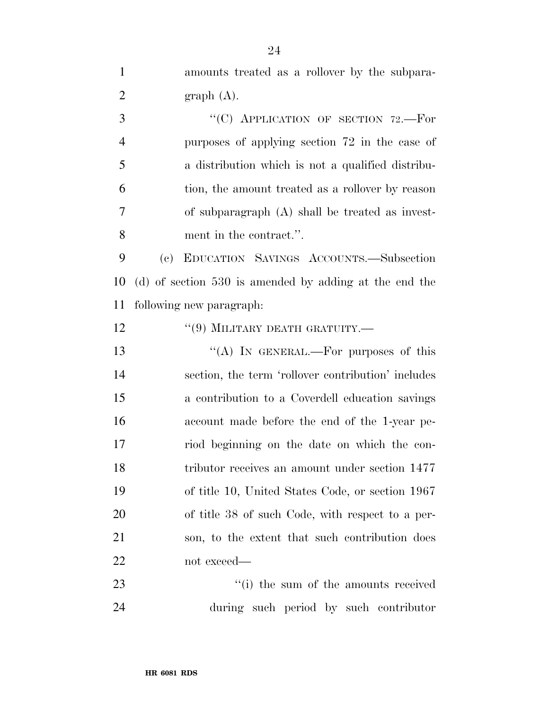amounts treated as a rollover by the subpara-2 graph  $(A)$ . 3 "<sup>"</sup>(C) APPLICATION OF SECTION 72.—For purposes of applying section 72 in the case of a distribution which is not a qualified distribu- tion, the amount treated as a rollover by reason of subparagraph (A) shall be treated as invest- ment in the contract.''. (c) EDUCATION SAVINGS ACCOUNTS.—Subsection (d) of section 530 is amended by adding at the end the following new paragraph: 12 "(9) MILITARY DEATH GRATUITY.— 13 "(A) IN GENERAL.—For purposes of this section, the term 'rollover contribution' includes a contribution to a Coverdell education savings account made before the end of the 1-year pe- riod beginning on the date on which the con- tributor receives an amount under section 1477 of title 10, United States Code, or section 1967 of title 38 of such Code, with respect to a per- son, to the extent that such contribution does not exceed— 23 ''(i) the sum of the amounts received

during such period by such contributor

**HR 6081 RDS**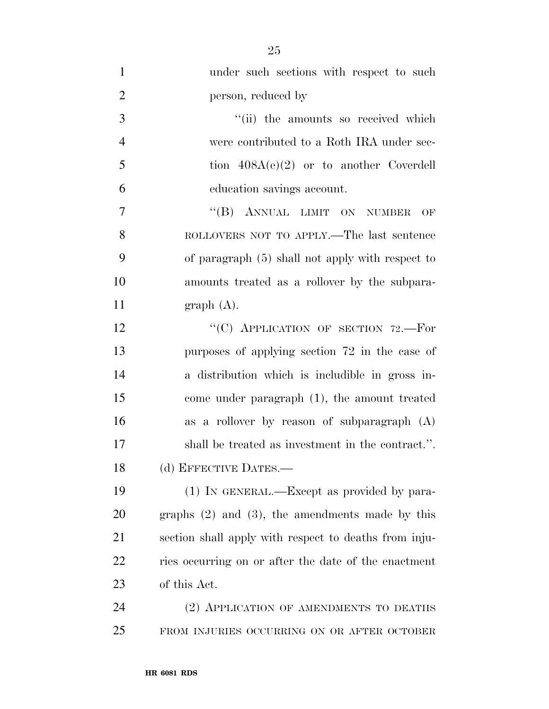| $\mathbf{1}$   | under such sections with respect to such              |
|----------------|-------------------------------------------------------|
| $\overline{2}$ | person, reduced by                                    |
| 3              | "(ii) the amounts so received which                   |
| $\overline{4}$ | were contributed to a Roth IRA under sec-             |
| 5              | tion $408A(e)(2)$ or to another Coverdell             |
| 6              | education savings account.                            |
| 7              | "(B) ANNUAL LIMIT ON NUMBER<br>OF                     |
| 8              | ROLLOVERS NOT TO APPLY.—The last sentence             |
| 9              | of paragraph $(5)$ shall not apply with respect to    |
| 10             | amounts treated as a rollover by the subpara-         |
| 11             | graph(A).                                             |
| 12             | "(C) APPLICATION OF SECTION 72.-For                   |
| 13             | purposes of applying section 72 in the case of        |
| 14             | a distribution which is includible in gross in-       |
| 15             | come under paragraph (1), the amount treated          |
| 16             | as a rollover by reason of subparagraph $(A)$         |
| 17             | shall be treated as investment in the contract.".     |
| 18             | (d) EFFECTIVE DATES.-                                 |
| 19             | (1) IN GENERAL.—Except as provided by para-           |
| 20             | graphs $(2)$ and $(3)$ , the amendments made by this  |
| 21             | section shall apply with respect to deaths from inju- |
| 22             | ries occurring on or after the date of the enactment  |
| 23             | of this Act.                                          |
| 24             | (2) APPLICATION OF AMENDMENTS TO DEATHS               |
| 25             | FROM INJURIES OCCURRING ON OR AFTER OCTOBER           |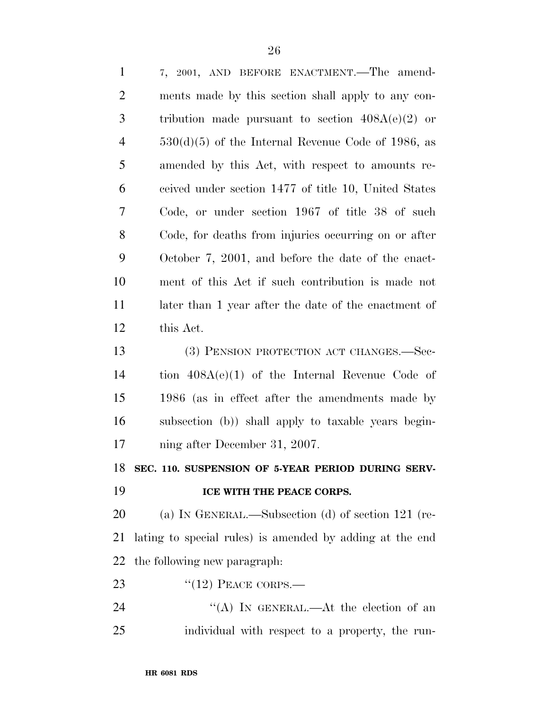| $\mathbf{1}$   | 7, 2001, AND BEFORE ENACTMENT.—The amend-                |
|----------------|----------------------------------------------------------|
| $\overline{2}$ | ments made by this section shall apply to any con-       |
| 3              | tribution made pursuant to section $408A(e)(2)$ or       |
| $\overline{4}$ | $530(d)(5)$ of the Internal Revenue Code of 1986, as     |
| 5              | amended by this Act, with respect to amounts re-         |
| 6              | ceived under section 1477 of title 10, United States     |
| 7              | Code, or under section 1967 of title 38 of such          |
| 8              | Code, for deaths from injuries occurring on or after     |
| 9              | October 7, 2001, and before the date of the enact-       |
| 10             | ment of this Act if such contribution is made not        |
| 11             | later than 1 year after the date of the enactment of     |
| 12             | this Act.                                                |
| 13             | (3) PENSION PROTECTION ACT CHANGES.—Sec-                 |
| 14             | tion $408A(e)(1)$ of the Internal Revenue Code of        |
| 15             | 1986 (as in effect after the amendments made by          |
| 16             | subsection (b)) shall apply to taxable years begin-      |
| 17             | ning after December 31, 2007.                            |
|                | 18 SEC. 110. SUSPENSION OF 5-YEAR PERIOD DURING SERV-    |
| 19             | ICE WITH THE PEACE CORPS.                                |
| 20             | (a) IN GENERAL.—Subsection (d) of section $121$ (re-     |
| 21             | lating to special rules) is amended by adding at the end |
| 22             | the following new paragraph.                             |
| 23             | $"(12)$ PEACE CORPS.—                                    |
| 24             | "(A) IN GENERAL.—At the election of an                   |
| 25             | individual with respect to a property, the run-          |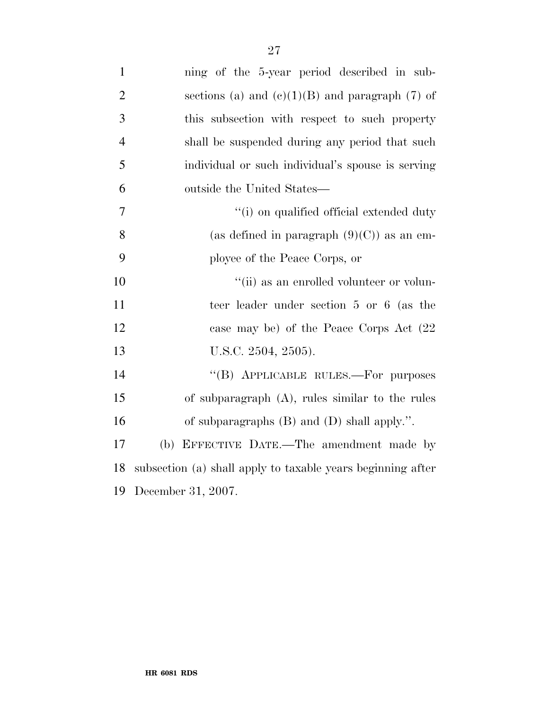| $\mathbf{1}$   | ning of the 5-year period described in sub-                 |
|----------------|-------------------------------------------------------------|
| $\overline{2}$ | sections (a) and $(e)(1)(B)$ and paragraph (7) of           |
| 3              | this subsection with respect to such property               |
| $\overline{4}$ | shall be suspended during any period that such              |
| 5              | individual or such individual's spouse is serving           |
| 6              | outside the United States—                                  |
| 7              | "(i) on qualified official extended duty                    |
| 8              | (as defined in paragraph $(9)(C)$ ) as an em-               |
| 9              | ployee of the Peace Corps, or                               |
| 10             | "(ii) as an enrolled volunteer or volun-                    |
| 11             | teer leader under section 5 or 6 (as the                    |
| 12             | case may be) of the Peace Corps Act (22                     |
| 13             | U.S.C. 2504, 2505).                                         |
| 14             | "(B) APPLICABLE RULES.—For purposes                         |
| 15             | of subparagraph $(A)$ , rules similar to the rules          |
| 16             | of subparagraphs $(B)$ and $(D)$ shall apply.".             |
| 17             | (b) EFFECTIVE DATE.—The amendment made by                   |
| 18             | subsection (a) shall apply to taxable years beginning after |
| 19             | December 31, 2007.                                          |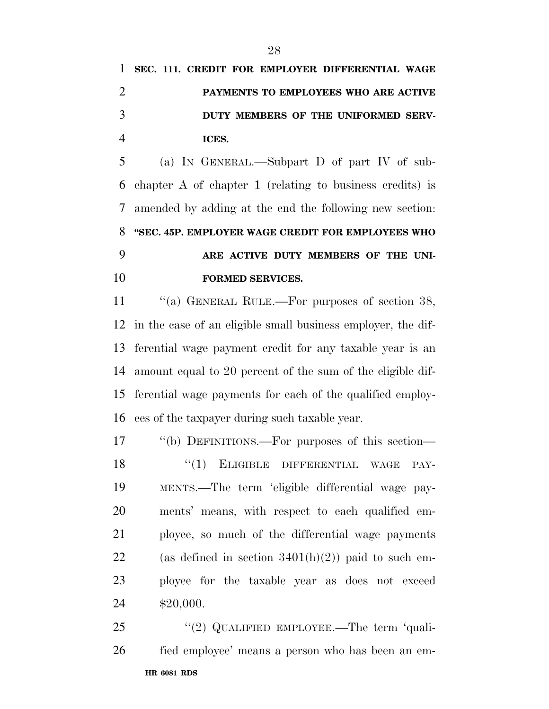## **SEC. 111. CREDIT FOR EMPLOYER DIFFERENTIAL WAGE PAYMENTS TO EMPLOYEES WHO ARE ACTIVE DUTY MEMBERS OF THE UNIFORMED SERV-ICES.**

 (a) IN GENERAL.—Subpart D of part IV of sub- chapter A of chapter 1 (relating to business credits) is amended by adding at the end the following new section: **''SEC. 45P. EMPLOYER WAGE CREDIT FOR EMPLOYEES WHO ARE ACTIVE DUTY MEMBERS OF THE UNI-FORMED SERVICES.** 

11 "(a) GENERAL RULE.—For purposes of section 38, in the case of an eligible small business employer, the dif- ferential wage payment credit for any taxable year is an amount equal to 20 percent of the sum of the eligible dif- ferential wage payments for each of the qualified employ-ees of the taxpayer during such taxable year.

 ''(b) DEFINITIONS.—For purposes of this section— 18 "(1) ELIGIBLE DIFFERENTIAL WAGE PAY- MENTS.—The term 'eligible differential wage pay- ments' means, with respect to each qualified em- ployee, so much of the differential wage payments 22 (as defined in section  $3401(h)(2)$ ) paid to such em- ployee for the taxable year as does not exceed \$20,000.

**HR 6081 RDS**  25 "(2) QUALIFIED EMPLOYEE.—The term 'quali-fied employee' means a person who has been an em-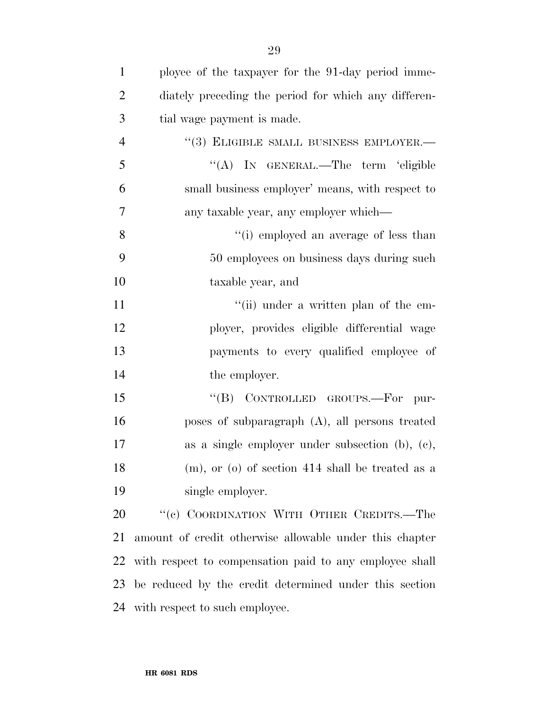| $\mathbf{1}$   | ployee of the taxpayer for the 91-day period imme-      |
|----------------|---------------------------------------------------------|
| $\overline{2}$ | diately preceding the period for which any differen-    |
| 3              | tial wage payment is made.                              |
| $\overline{4}$ | "(3) ELIGIBLE SMALL BUSINESS EMPLOYER.-                 |
| 5              | "(A) IN GENERAL.—The term 'eligible                     |
| 6              | small business employer' means, with respect to         |
| $\tau$         | any taxable year, any employer which—                   |
| 8              | "(i) employed an average of less than                   |
| 9              | 50 employees on business days during such               |
| 10             | taxable year, and                                       |
| 11             | "(ii) under a written plan of the em-                   |
| 12             | ployer, provides eligible differential wage             |
| 13             | payments to every qualified employee of                 |
| 14             | the employer.                                           |
| 15             | CONTROLLED GROUPS.-For<br>$\lq\lq (B)$<br>pur-          |
| 16             | poses of subparagraph $(A)$ , all persons treated       |
| 17             | as a single employer under subsection $(b)$ , $(c)$ ,   |
| 18             | (m), or (o) of section 414 shall be treated as a        |
| 19             | single employer.                                        |
| 20             | "(c) COORDINATION WITH OTHER CREDITS.—The               |
| 21             | amount of credit otherwise allowable under this chapter |
| 22             | with respect to compensation paid to any employee shall |
| 23             | be reduced by the credit determined under this section  |
| 24             | with respect to such employee.                          |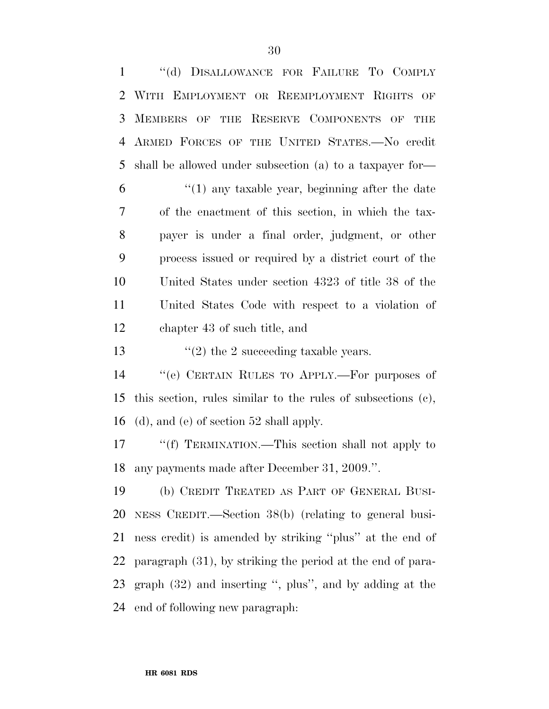''(d) DISALLOWANCE FOR FAILURE TO COMPLY WITH EMPLOYMENT OR REEMPLOYMENT RIGHTS OF MEMBERS OF THE RESERVE COMPONENTS OF THE ARMED FORCES OF THE UNITED STATES.—No credit shall be allowed under subsection (a) to a taxpayer for— ''(1) any taxable year, beginning after the date of the enactment of this section, in which the tax- payer is under a final order, judgment, or other process issued or required by a district court of the United States under section 4323 of title 38 of the United States Code with respect to a violation of chapter 43 of such title, and  $\frac{1}{2}$  the 2 succeeding taxable years. ''(e) CERTAIN RULES TO APPLY.—For purposes of this section, rules similar to the rules of subsections (c), (d), and (e) of section 52 shall apply.

17 ""(f) TERMINATION.—This section shall not apply to any payments made after December 31, 2009.''.

 (b) CREDIT TREATED AS PART OF GENERAL BUSI- NESS CREDIT.—Section 38(b) (relating to general busi- ness credit) is amended by striking ''plus'' at the end of paragraph (31), by striking the period at the end of para- graph (32) and inserting '', plus'', and by adding at the end of following new paragraph: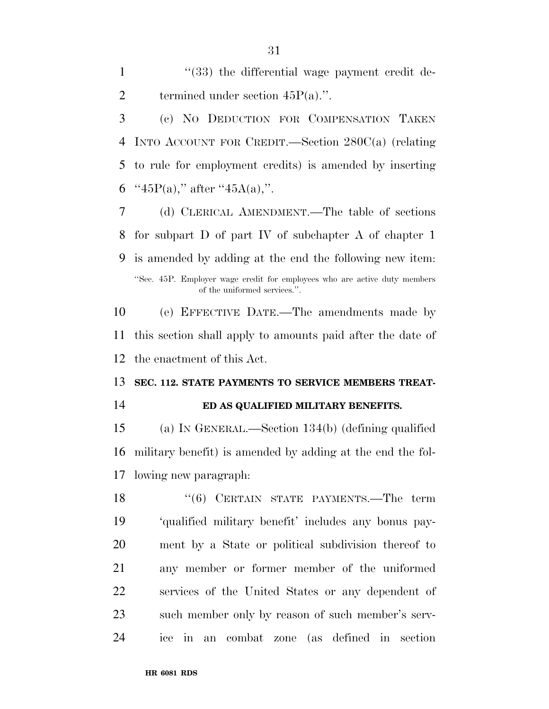1 ''(33) the differential wage payment credit de-2 termined under section  $45P(a)$ .".

 (c) NO DEDUCTION FOR COMPENSATION TAKEN INTO ACCOUNT FOR CREDIT.—Section 280C(a) (relating to rule for employment credits) is amended by inserting  $"45P(a)$ ," after  $"45A(a)$ ,".

 (d) CLERICAL AMENDMENT.—The table of sections for subpart D of part IV of subchapter A of chapter 1 is amended by adding at the end the following new item: ''Sec. 45P. Employer wage credit for employees who are active duty members of the uniformed services.''.

 (e) EFFECTIVE DATE.—The amendments made by this section shall apply to amounts paid after the date of the enactment of this Act.

### **SEC. 112. STATE PAYMENTS TO SERVICE MEMBERS TREAT-**

#### **ED AS QUALIFIED MILITARY BENEFITS.**

 (a) IN GENERAL.—Section 134(b) (defining qualified military benefit) is amended by adding at the end the fol-lowing new paragraph:

18 "(6) CERTAIN STATE PAYMENTS.—The term 'qualified military benefit' includes any bonus pay- ment by a State or political subdivision thereof to any member or former member of the uniformed services of the United States or any dependent of such member only by reason of such member's serv-ice in an combat zone (as defined in section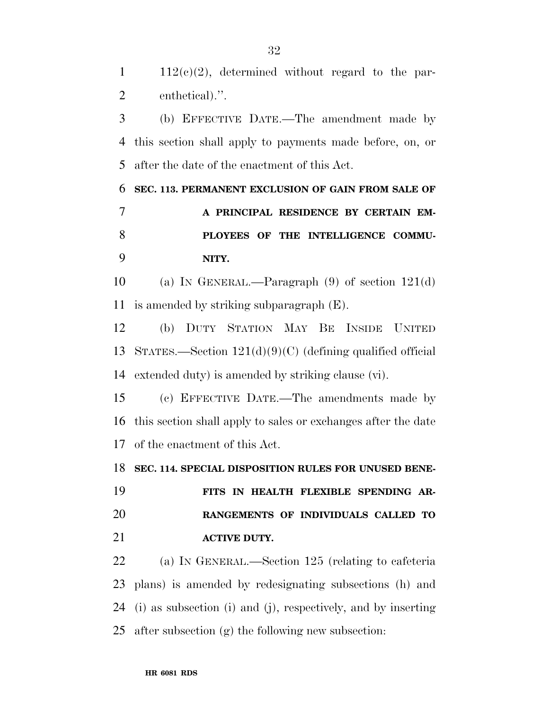$1 \quad 112(c)(2)$ , determined without regard to the par-enthetical).''.

 (b) EFFECTIVE DATE.—The amendment made by this section shall apply to payments made before, on, or after the date of the enactment of this Act.

 **SEC. 113. PERMANENT EXCLUSION OF GAIN FROM SALE OF A PRINCIPAL RESIDENCE BY CERTAIN EM- PLOYEES OF THE INTELLIGENCE COMMU-NITY.** 

 (a) IN GENERAL.—Paragraph (9) of section 121(d) is amended by striking subparagraph (E).

 (b) DUTY STATION MAY BE INSIDE UNITED STATES.—Section 121(d)(9)(C) (defining qualified official extended duty) is amended by striking clause (vi).

 (c) EFFECTIVE DATE.—The amendments made by this section shall apply to sales or exchanges after the date of the enactment of this Act.

**SEC. 114. SPECIAL DISPOSITION RULES FOR UNUSED BENE-**

 **FITS IN HEALTH FLEXIBLE SPENDING AR- RANGEMENTS OF INDIVIDUALS CALLED TO ACTIVE DUTY.** 

 (a) IN GENERAL.—Section 125 (relating to cafeteria plans) is amended by redesignating subsections (h) and (i) as subsection (i) and (j), respectively, and by inserting after subsection (g) the following new subsection: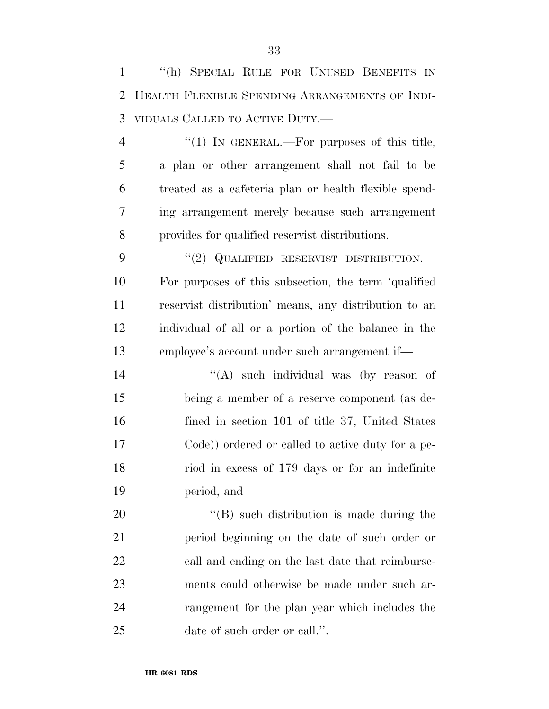''(h) SPECIAL RULE FOR UNUSED BENEFITS IN HEALTH FLEXIBLE SPENDING ARRANGEMENTS OF INDI-VIDUALS CALLED TO ACTIVE DUTY.—

4 "(1) In GENERAL.—For purposes of this title, a plan or other arrangement shall not fail to be treated as a cafeteria plan or health flexible spend- ing arrangement merely because such arrangement provides for qualified reservist distributions.

9 "(2) QUALIFIED RESERVIST DISTRIBUTION.— For purposes of this subsection, the term 'qualified reservist distribution' means, any distribution to an individual of all or a portion of the balance in the employee's account under such arrangement if—

14 ''(A) such individual was (by reason of being a member of a reserve component (as de- fined in section 101 of title 37, United States Code)) ordered or called to active duty for a pe- riod in excess of 179 days or for an indefinite period, and

 $\text{``(B)}$  such distribution is made during the period beginning on the date of such order or call and ending on the last date that reimburse- ments could otherwise be made under such ar- rangement for the plan year which includes the date of such order or call.''.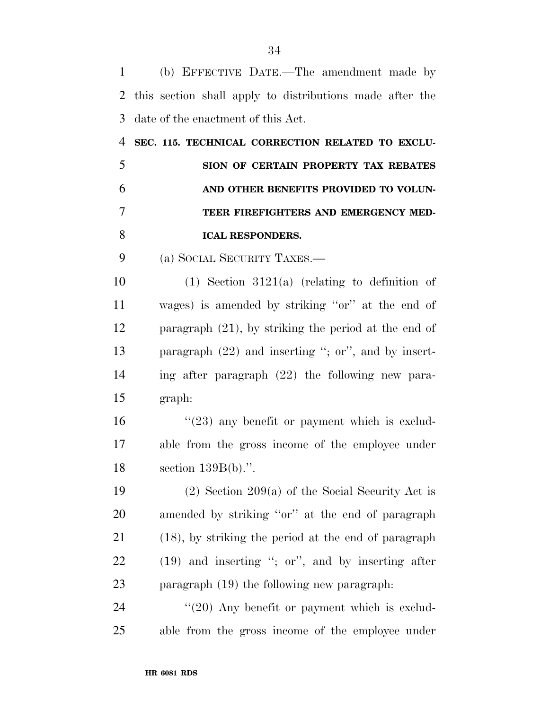(b) EFFECTIVE DATE.—The amendment made by this section shall apply to distributions made after the date of the enactment of this Act. **SEC. 115. TECHNICAL CORRECTION RELATED TO EXCLU- SION OF CERTAIN PROPERTY TAX REBATES AND OTHER BENEFITS PROVIDED TO VOLUN- TEER FIREFIGHTERS AND EMERGENCY MED- ICAL RESPONDERS.**  (a) SOCIAL SECURITY TAXES.— (1) Section 3121(a) (relating to definition of wages) is amended by striking ''or'' at the end of paragraph (21), by striking the period at the end of paragraph (22) and inserting ''; or'', and by insert- ing after paragraph (22) the following new para- graph:  $\frac{16}{23}$  any benefit or payment which is exclud- able from the gross income of the employee under section 139B(b).''. 19 (2) Section 209(a) of the Social Security Act is amended by striking ''or'' at the end of paragraph (18), by striking the period at the end of paragraph (19) and inserting ''; or'', and by inserting after paragraph (19) the following new paragraph:

24 "(20) Any benefit or payment which is exclud-able from the gross income of the employee under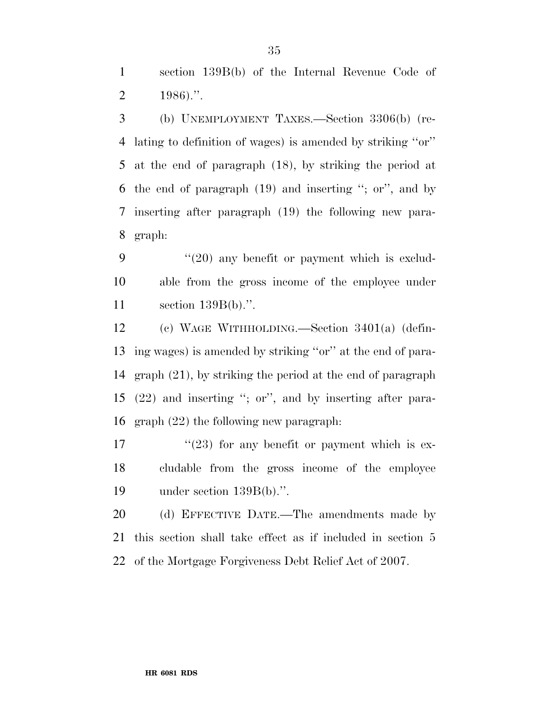section 139B(b) of the Internal Revenue Code of 2 .".

 (b) UNEMPLOYMENT TAXES.—Section 3306(b) (re- lating to definition of wages) is amended by striking ''or'' at the end of paragraph (18), by striking the period at the end of paragraph (19) and inserting ''; or'', and by inserting after paragraph (19) the following new para-graph:

9 "(20) any benefit or payment which is exclud- able from the gross income of the employee under section 139B(b).''.

 (c) WAGE WITHHOLDING.—Section 3401(a) (defin- ing wages) is amended by striking ''or'' at the end of para- graph (21), by striking the period at the end of paragraph (22) and inserting ''; or'', and by inserting after para-graph (22) the following new paragraph:

 $\frac{17}{23}$  for any benefit or payment which is ex- cludable from the gross income of the employee under section 139B(b).''.

20 (d) EFFECTIVE DATE.—The amendments made by this section shall take effect as if included in section 5 of the Mortgage Forgiveness Debt Relief Act of 2007.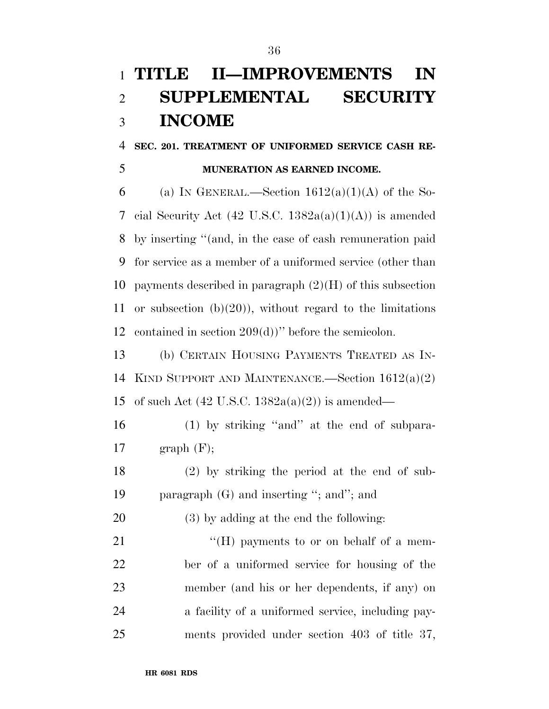# **TITLE II—IMPROVEMENTS IN SUPPLEMENTAL SECURITY INCOME**

### **SEC. 201. TREATMENT OF UNIFORMED SERVICE CASH RE-MUNERATION AS EARNED INCOME.**

6 (a) IN GENERAL.—Section  $1612(a)(1)(A)$  of the So-7 cial Security Act  $(42 \text{ U.S.C. } 1382a(a)(1)(A))$  is amended by inserting ''(and, in the case of cash remuneration paid for service as a member of a uniformed service (other than 10 payments described in paragraph  $(2)(H)$  of this subsection or subsection (b)(20)), without regard to the limitations contained in section 209(d))'' before the semicolon.

 (b) CERTAIN HOUSING PAYMENTS TREATED AS IN- KIND SUPPORT AND MAINTENANCE.—Section 1612(a)(2) 15 of such Act  $(42 \text{ U.S.C. } 1382a(a)(2))$  is amended—

 (1) by striking ''and'' at the end of subpara-17 graph  $(F)$ ;

 (2) by striking the period at the end of sub-paragraph (G) and inserting ''; and''; and

(3) by adding at the end the following:

21 ""(H) payments to or on behalf of a mem- ber of a uniformed service for housing of the member (and his or her dependents, if any) on a facility of a uniformed service, including pay-ments provided under section 403 of title 37,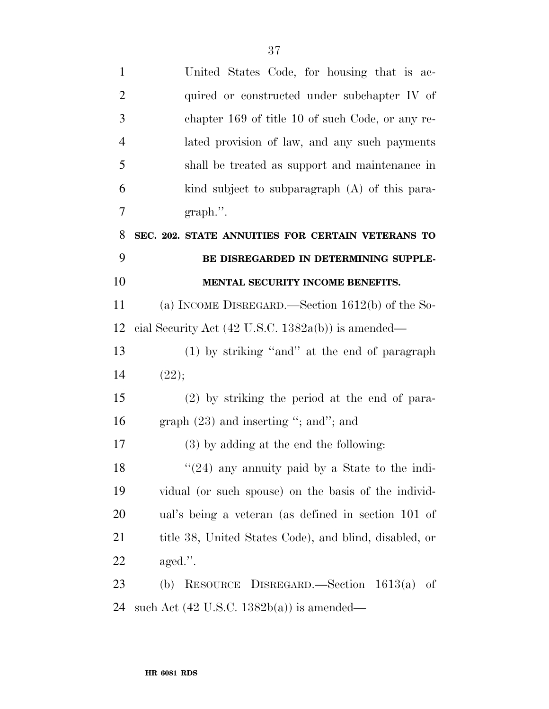| $\mathbf{1}$   | United States Code, for housing that is ac-                   |
|----------------|---------------------------------------------------------------|
| $\overline{2}$ | quired or constructed under subchapter IV of                  |
| 3              | chapter 169 of title 10 of such Code, or any re-              |
| $\overline{4}$ | lated provision of law, and any such payments                 |
| 5              | shall be treated as support and maintenance in                |
| 6              | kind subject to subparagraph (A) of this para-                |
| 7              | $graph$ .".                                                   |
| 8              | SEC. 202. STATE ANNUITIES FOR CERTAIN VETERANS TO             |
| 9              | BE DISREGARDED IN DETERMINING SUPPLE-                         |
| 10             | MENTAL SECURITY INCOME BENEFITS.                              |
| 11             | (a) INCOME DISREGARD.—Section $1612(b)$ of the So-            |
| 12             | cial Security Act $(42 \text{ U.S.C. } 1382a(b))$ is amended— |
| 13             | (1) by striking "and" at the end of paragraph                 |
| 14             | (22);                                                         |
| 15             | $(2)$ by striking the period at the end of para-              |
| 16             | graph $(23)$ and inserting "; and"; and                       |
| 17             | $(3)$ by adding at the end the following:                     |
| 18             | $\cdot\cdot(24)$ any annuity paid by a State to the indi-     |
| 19             | vidual (or such spouse) on the basis of the individ-          |
| 20             | ual's being a veteran (as defined in section 101 of           |
| 21             | title 38, United States Code), and blind, disabled, or        |
| 22             | $\text{aged.}$ ".                                             |
| 23             | RESOURCE DISREGARD.—Section $1613(a)$<br>(b)<br>of            |
| 24             | such Act $(42 \text{ U.S.C. } 1382b(a))$ is amended—          |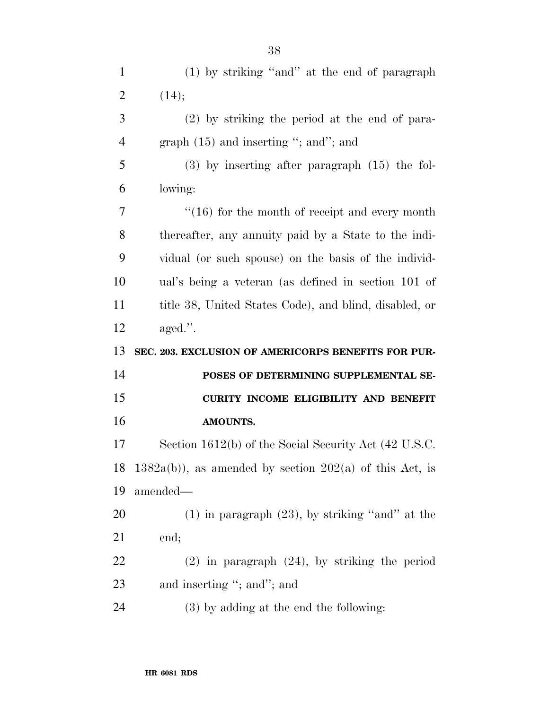| $\mathbf{1}$   | (1) by striking "and" at the end of paragraph               |
|----------------|-------------------------------------------------------------|
| $\overline{2}$ | (14);                                                       |
| 3              | $(2)$ by striking the period at the end of para-            |
| $\overline{4}$ | graph $(15)$ and inserting "; and"; and                     |
| 5              | $(3)$ by inserting after paragraph $(15)$ the fol-          |
| 6              | lowing:                                                     |
| 7              | $\cdot$ (16) for the month of receipt and every month       |
| 8              | thereafter, any annuity paid by a State to the indi-        |
| 9              | vidual (or such spouse) on the basis of the individ-        |
| 10             | ual's being a veteran (as defined in section 101 of         |
| 11             | title 38, United States Code), and blind, disabled, or      |
| 12             | $\text{aged."}.$                                            |
|                |                                                             |
| 13             | SEC. 203. EXCLUSION OF AMERICORPS BENEFITS FOR PUR-         |
| 14             | POSES OF DETERMINING SUPPLEMENTAL SE-                       |
| 15             | CURITY INCOME ELIGIBILITY AND BENEFIT                       |
| 16             | AMOUNTS.                                                    |
| 17             | Section 1612(b) of the Social Security Act (42 U.S.C.       |
| 18             | $1382a(b)$ , as amended by section $202(a)$ of this Act, is |
| 19             | amended—                                                    |
| 20             | $(1)$ in paragraph $(23)$ , by striking "and" at the        |
| 21             | end;                                                        |
| 22             | $(2)$ in paragraph $(24)$ , by striking the period          |
| 23             | and inserting "; and"; and                                  |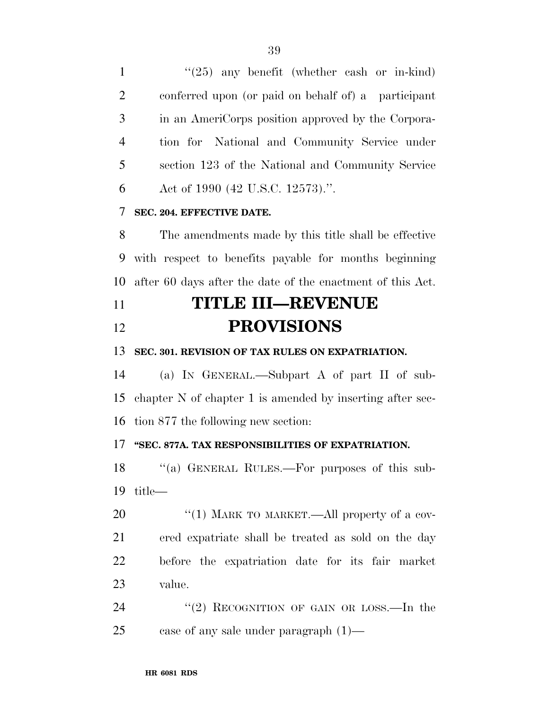$\frac{1}{25}$  any benefit (whether cash or in-kind) conferred upon (or paid on behalf of) a participant in an AmeriCorps position approved by the Corpora- tion for National and Community Service under section 123 of the National and Community Service Act of 1990 (42 U.S.C. 12573).''.

### **SEC. 204. EFFECTIVE DATE.**

 The amendments made by this title shall be effective with respect to benefits payable for months beginning after 60 days after the date of the enactment of this Act.

## **TITLE III—REVENUE PROVISIONS**

### **SEC. 301. REVISION OF TAX RULES ON EXPATRIATION.**

 (a) IN GENERAL.—Subpart A of part II of sub- chapter N of chapter 1 is amended by inserting after sec-tion 877 the following new section:

### **''SEC. 877A. TAX RESPONSIBILITIES OF EXPATRIATION.**

18 "(a) GENERAL RULES.—For purposes of this sub-title—

20 "(1) MARK TO MARKET.—All property of a cov- ered expatriate shall be treated as sold on the day before the expatriation date for its fair market value.

24 "(2) RECOGNITION OF GAIN OR LOSS.—In the case of any sale under paragraph (1)—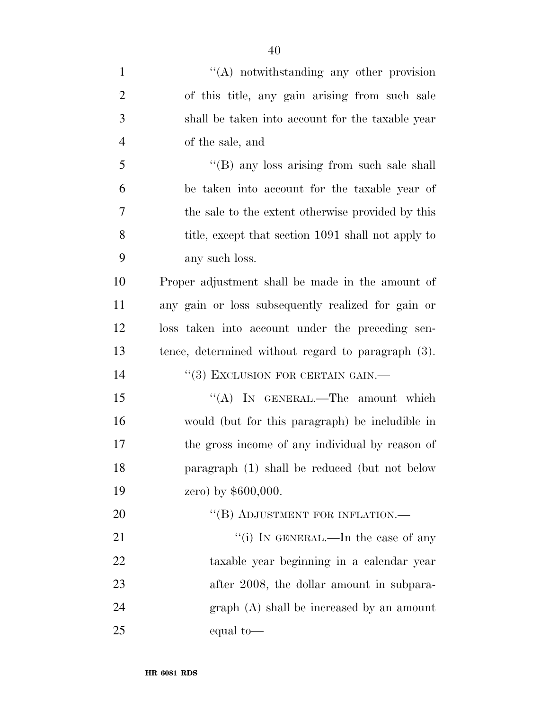| $\mathbf{1}$   | $\lq\lq$ notwithstanding any other provision       |
|----------------|----------------------------------------------------|
| $\overline{2}$ | of this title, any gain arising from such sale     |
| 3              | shall be taken into account for the taxable year   |
| $\overline{4}$ | of the sale, and                                   |
| 5              | "(B) any loss arising from such sale shall         |
| 6              | be taken into account for the taxable year of      |
| 7              | the sale to the extent otherwise provided by this  |
| 8              | title, except that section 1091 shall not apply to |
| 9              | any such loss.                                     |
| 10             | Proper adjustment shall be made in the amount of   |
| 11             | any gain or loss subsequently realized for gain or |
| 12             | loss taken into account under the preceding sen-   |
| 13             | tence, determined without regard to paragraph (3). |
| 14             | $``(3)$ EXCLUSION FOR CERTAIN GAIN.—               |
| 15             | "(A) IN GENERAL.—The amount which                  |
| 16             | would (but for this paragraph) be includible in    |
| 17             | the gross income of any individual by reason of    |
| 18             | paragraph (1) shall be reduced (but not below      |
| 19             | zero) by $$600,000$ .                              |
| 20             | "(B) ADJUSTMENT FOR INFLATION.-                    |
| 21             | "(i) IN GENERAL.—In the case of any                |
| 22             | taxable year beginning in a calendar year          |
| 23             | after 2008, the dollar amount in subpara-          |
| 24             | $graph(A)$ shall be increased by an amount         |
| 25             | equal to-                                          |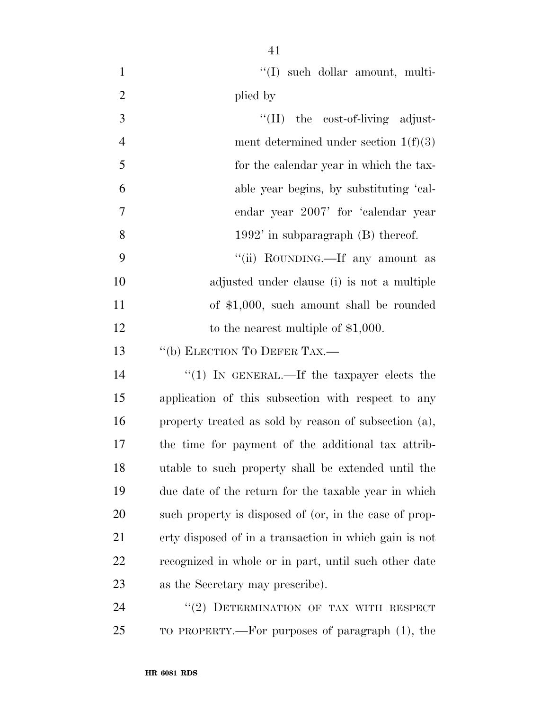| $\mathbf{1}$   | "(I) such dollar amount, multi-                        |
|----------------|--------------------------------------------------------|
| $\overline{2}$ | plied by                                               |
| 3              | $\lq\lq$ (II) the cost-of-living adjust-               |
| $\overline{4}$ | ment determined under section $1(f)(3)$                |
| 5              | for the calendar year in which the tax-                |
| 6              | able year begins, by substituting 'cal-                |
| $\tau$         | endar year 2007' for 'calendar year                    |
| 8              | $1992'$ in subparagraph $(B)$ thereof.                 |
| 9              | "(ii) ROUNDING.—If any amount as                       |
| 10             | adjusted under clause (i) is not a multiple            |
| 11             | of $$1,000$ , such amount shall be rounded             |
| 12             | to the nearest multiple of $$1,000$ .                  |
| 13             | "(b) ELECTION TO DEFER TAX.-                           |
| 14             | "(1) IN GENERAL.—If the taxpayer elects the            |
| 15             | application of this subsection with respect to any     |
| 16             | property treated as sold by reason of subsection (a),  |
| 17             | the time for payment of the additional tax attrib-     |
| 18             | utable to such property shall be extended until the    |
| 19             | due date of the return for the taxable year in which   |
| 20             | such property is disposed of (or, in the case of prop- |
| 21             | erty disposed of in a transaction in which gain is not |
| 22             | recognized in whole or in part, until such other date  |
| 23             | as the Secretary may prescribe).                       |
| 24             | "(2) DETERMINATION OF TAX WITH RESPECT                 |
| 25             | TO PROPERTY.—For purposes of paragraph (1), the        |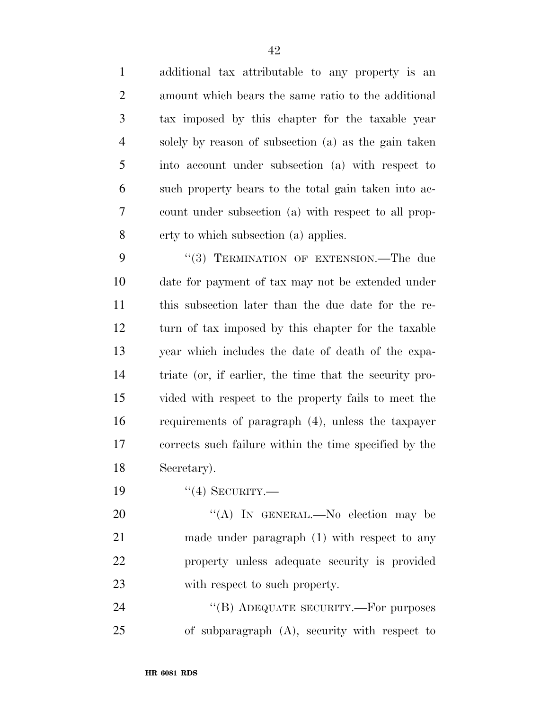additional tax attributable to any property is an amount which bears the same ratio to the additional tax imposed by this chapter for the taxable year solely by reason of subsection (a) as the gain taken into account under subsection (a) with respect to such property bears to the total gain taken into ac- count under subsection (a) with respect to all prop-erty to which subsection (a) applies.

9 "(3) TERMINATION OF EXTENSION.—The due date for payment of tax may not be extended under this subsection later than the due date for the re- turn of tax imposed by this chapter for the taxable year which includes the date of death of the expa- triate (or, if earlier, the time that the security pro- vided with respect to the property fails to meet the requirements of paragraph (4), unless the taxpayer corrects such failure within the time specified by the Secretary).

19 "(4) SECURITY.—

20 "(A) In GENERAL.—No election may be made under paragraph (1) with respect to any property unless adequate security is provided with respect to such property.

24 "(B) ADEQUATE SECURITY.—For purposes of subparagraph (A), security with respect to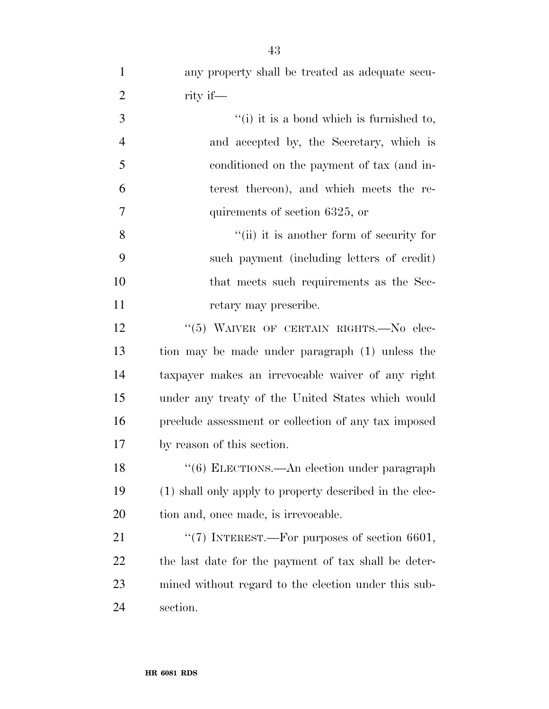| 3              | $f(i)$ it is a bond which is furnished to, |
|----------------|--------------------------------------------|
| $\overline{4}$ | and accepted by, the Secretary, which is   |
| 5              | conditioned on the payment of tax (and in- |
| 6              | terest thereon), and which meets the re-   |
| $\overline{7}$ | quirements of section 6325, or             |
| 8              | "(ii) it is another form of security for   |
| 9              | such payment (including letters of credit) |
| 10             | that meets such requirements as the Sec-   |
| 11             | retary may prescribe.                      |
|                |                                            |

12 "(5) WAIVER OF CERTAIN RIGHTS. No elec- tion may be made under paragraph (1) unless the taxpayer makes an irrevocable waiver of any right under any treaty of the United States which would preclude assessment or collection of any tax imposed by reason of this section.

18 ''(6) ELECTIONS.—An election under paragraph (1) shall only apply to property described in the elec-20 tion and, once made, is irrevocable.

21 "(7) INTEREST.—For purposes of section 6601, the last date for the payment of tax shall be deter- mined without regard to the election under this sub-section.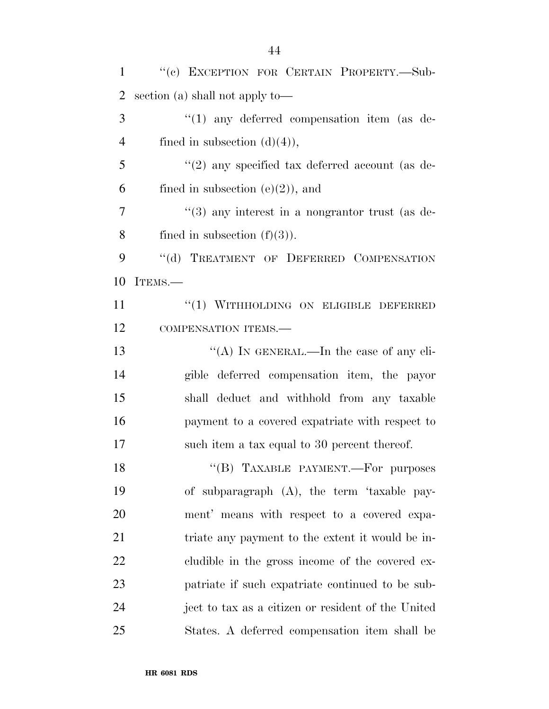| $\mathbf{1}$   | "(c) EXCEPTION FOR CERTAIN PROPERTY.-Sub-                   |
|----------------|-------------------------------------------------------------|
| $\overline{2}$ | section (a) shall not apply to—                             |
| 3              | $\lq(1)$ any deferred compensation item (as de-             |
| $\overline{4}$ | fined in subsection $(d)(4)$ ,                              |
| 5              | $\lq(2)$ any specified tax deferred account (as de-         |
| 6              | fined in subsection $(e)(2)$ , and                          |
| $\overline{7}$ | $\cdot\cdot$ (3) any interest in a nongrantor trust (as de- |
| 8              | fined in subsection $(f)(3)$ ).                             |
| 9              | "(d) TREATMENT OF DEFERRED COMPENSATION                     |
| 10             | ITEMS.-                                                     |
| 11             | "(1) WITHHOLDING ON ELIGIBLE DEFERRED                       |
| 12             | COMPENSATION ITEMS.-                                        |
| 13             | "(A) IN GENERAL.—In the case of any eli-                    |
| 14             | gible deferred compensation item, the payor                 |
| 15             | shall deduct and withhold from any taxable                  |
| 16             | payment to a covered expatriate with respect to             |
| 17             | such item a tax equal to 30 percent thereof.                |
| 18             | "(B) TAXABLE PAYMENT.—For purposes                          |
| 19             | of subparagraph (A), the term 'taxable pay-                 |
| 20             | ment' means with respect to a covered expa-                 |
| 21             | triate any payment to the extent it would be in-            |
| 22             | cludible in the gross income of the covered ex-             |
| 23             | patriate if such expatriate continued to be sub-            |
| 24             | ject to tax as a citizen or resident of the United          |
| 25             | States. A deferred compensation item shall be               |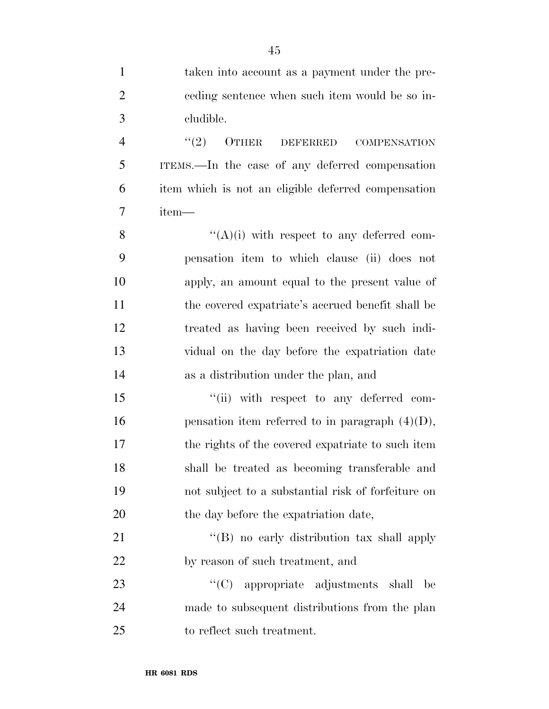| $\mathbf{1}$   | taken into account as a payment under the pre-      |
|----------------|-----------------------------------------------------|
| $\overline{2}$ | eeding sentence when such item would be so in-      |
| 3              | cludible.                                           |
| $\overline{4}$ | (2)<br>OTHER<br>DEFERRED<br><b>COMPENSATION</b>     |
| 5              | ITEMS.—In the case of any deferred compensation     |
| 6              | item which is not an eligible deferred compensation |
| 7              | item—                                               |
| 8              | $\lq\lq(A)(i)$ with respect to any deferred com-    |
| 9              | pensation item to which clause (ii) does not        |
| 10             | apply, an amount equal to the present value of      |
| 11             | the covered expatriate's accrued benefit shall be   |
| 12             | treated as having been received by such indi-       |
| 13             | vidual on the day before the expatriation date      |
| 14             | as a distribution under the plan, and               |
| 15             | "(ii) with respect to any deferred com-             |
| 16             | pensation item referred to in paragraph $(4)(D)$ ,  |
| 17             | the rights of the covered expatriate to such item   |
| 18             | shall be treated as becoming transferable and       |
| 19             | not subject to a substantial risk of forfeiture on  |
| 20             | the day before the expatriation date,               |
| 21             | "(B) no early distribution tax shall apply          |
| 22             | by reason of such treatment, and                    |
| 23             | "(C) appropriate adjustments shall<br>be            |
| 24             | made to subsequent distributions from the plan      |
| 25             | to reflect such treatment.                          |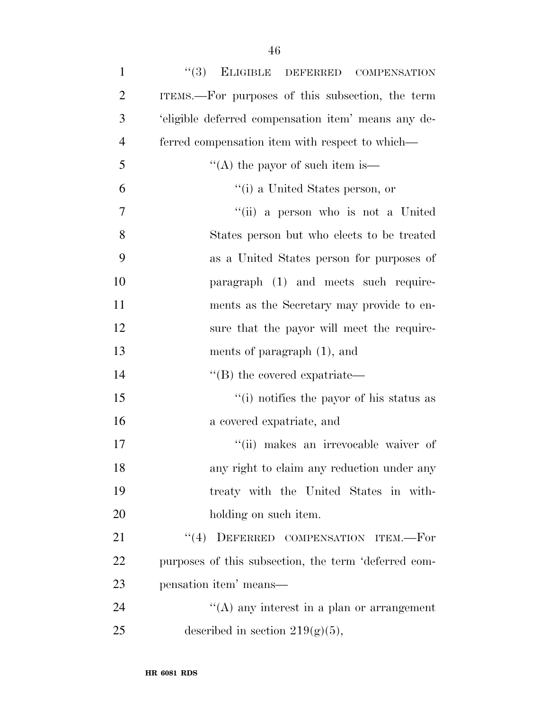| $\mathbf{1}$   | $(3)$ ELIGIBLE DEFERRED<br><b>COMPENSATION</b>       |
|----------------|------------------------------------------------------|
| $\overline{2}$ | ITEMS.—For purposes of this subsection, the term     |
| 3              | 'eligible deferred compensation item' means any de-  |
| $\overline{4}$ | ferred compensation item with respect to which—      |
| 5              | "(A) the payor of such item is—                      |
| 6              | "(i) a United States person, or                      |
| $\overline{7}$ | "(ii) a person who is not a United                   |
| 8              | States person but who elects to be treated           |
| 9              | as a United States person for purposes of            |
| 10             | paragraph (1) and meets such require-                |
| 11             | ments as the Secretary may provide to en-            |
| 12             | sure that the payor will meet the require-           |
| 13             | ments of paragraph $(1)$ , and                       |
| 14             | $\lq$ (B) the covered expatriate—                    |
| 15             | "(i) notifies the payor of his status as             |
| 16             | a covered expatriate, and                            |
| 17             | "(ii) makes an irrevocable waiver of                 |
| 18             | any right to claim any reduction under any           |
| 19             | treaty with the United States in with-               |
| 20             | holding on such item.                                |
| 21             | "(4) DEFERRED COMPENSATION ITEM.-For                 |
| 22             | purposes of this subsection, the term 'deferred com- |
| 23             | pensation item' means—                               |
| 24             | $\lq\lq$ any interest in a plan or arrangement       |
| 25             | described in section $219(g)(5)$ ,                   |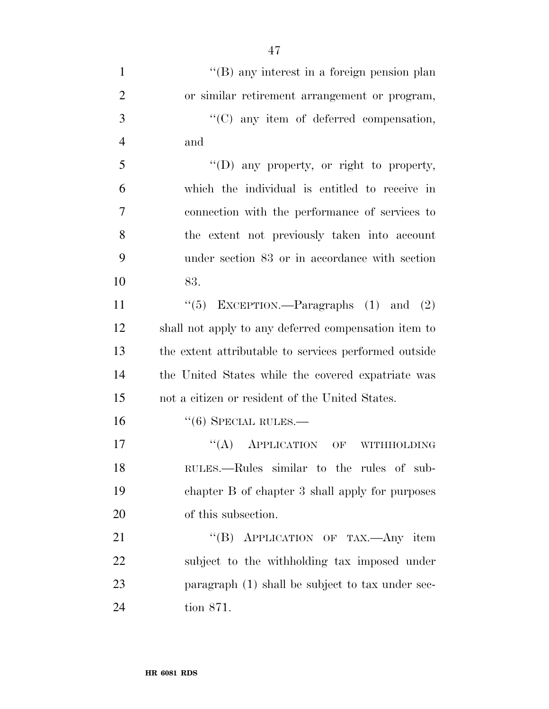| $\mathbf{1}$   | $\lq\lq (B)$ any interest in a foreign pension plan   |
|----------------|-------------------------------------------------------|
| $\overline{2}$ | or similar retirement arrangement or program,         |
| 3              | "(C) any item of deferred compensation,               |
| $\overline{4}$ | and                                                   |
| 5              | $\lq\lq$ (D) any property, or right to property,      |
| 6              | which the individual is entitled to receive in        |
| 7              | connection with the performance of services to        |
| 8              | the extent not previously taken into account          |
| 9              | under section 83 or in accordance with section        |
| 10             | 83.                                                   |
| 11             | "(5) EXCEPTION.—Paragraphs $(1)$ and $(2)$            |
| 12             | shall not apply to any deferred compensation item to  |
| 13             | the extent attributable to services performed outside |
| 14             | the United States while the covered expatriate was    |
| 15             | not a citizen or resident of the United States.       |
| 16             | $``(6)$ SPECIAL RULES.—                               |
| 17             | $\lq\lq (A)$ APPLICATION<br>OF<br><b>WITHHOLDING</b>  |
| 18             | RULES.—Rules similar to the rules of sub-             |
| 19             | chapter B of chapter 3 shall apply for purposes       |
| 20             | of this subsection.                                   |
| 21             | "(B) APPLICATION OF TAX.—Any item                     |
| 22             | subject to the withholding tax imposed under          |
| 23             | paragraph (1) shall be subject to tax under sec-      |
| 24             | tion 871.                                             |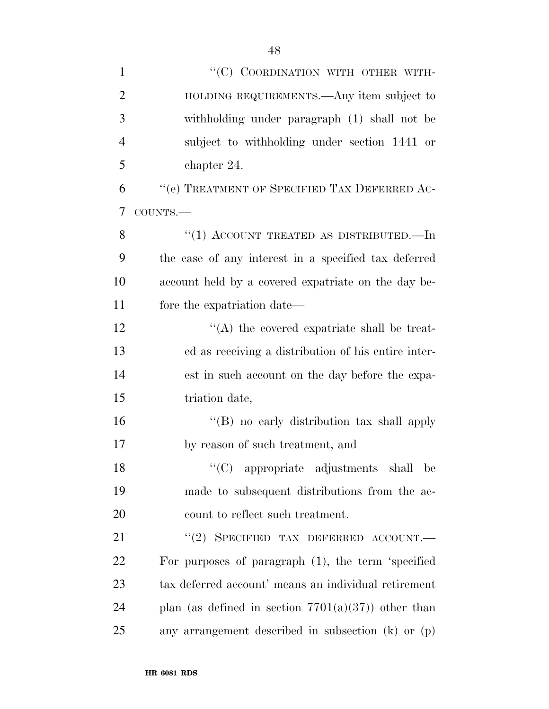| $\mathbf{1}$   | "(C) COORDINATION WITH OTHER WITH-                     |
|----------------|--------------------------------------------------------|
| $\overline{2}$ | HOLDING REQUIREMENTS.—Any item subject to              |
| 3              | withholding under paragraph (1) shall not be           |
| $\overline{4}$ | subject to withholding under section 1441 or           |
| 5              | chapter 24.                                            |
| 6              | "(e) TREATMENT OF SPECIFIED TAX DEFERRED AC-           |
| 7              | COUNTS.-                                               |
| 8              | "(1) ACCOUNT TREATED AS DISTRIBUTED.—In                |
| 9              | the case of any interest in a specified tax deferred   |
| 10             | account held by a covered expatriate on the day be-    |
| 11             | fore the expatriation date—                            |
| 12             | $\lq\lq$ the covered expatriate shall be treat-        |
| 13             | ed as receiving a distribution of his entire inter-    |
| 14             | est in such account on the day before the expa-        |
| 15             | triation date,                                         |
| 16             | "(B) no early distribution tax shall apply             |
| 17             | by reason of such treatment, and                       |
| 18             | "(C) appropriate adjustments shall be                  |
| 19             | made to subsequent distributions from the ac-          |
| 20             | count to reflect such treatment.                       |
| 21             | "(2) SPECIFIED TAX DEFERRED ACCOUNT.                   |
| <u>22</u>      | For purposes of paragraph $(1)$ , the term 'specified  |
| 23             | tax deferred account' means an individual retirement   |
| 24             | plan (as defined in section $7701(a)(37)$ ) other than |
| 25             | any arrangement described in subsection $(k)$ or $(p)$ |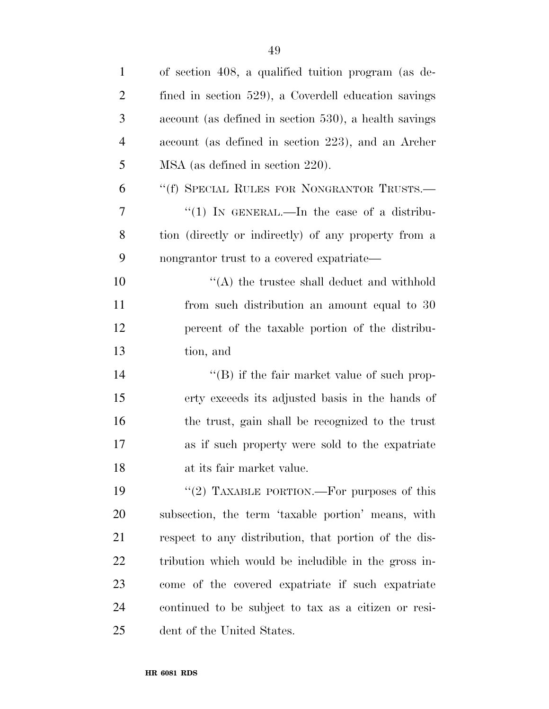| $\mathbf{1}$   | of section 408, a qualified tuition program (as de-   |
|----------------|-------------------------------------------------------|
| $\overline{2}$ | fined in section 529), a Coverdell education savings  |
| 3              | account (as defined in section 530), a health savings |
| $\overline{4}$ | account (as defined in section 223), and an Archer    |
| 5              | MSA (as defined in section 220).                      |
| 6              | "(f) SPECIAL RULES FOR NONGRANTOR TRUSTS.—            |
| 7              | "(1) IN GENERAL.—In the case of a distribu-           |
| 8              | tion (directly or indirectly) of any property from a  |
| 9              | nongrantor trust to a covered expatriate—             |
| 10             | $\lq\lq$ the trustee shall deduct and withhold        |
| 11             | from such distribution an amount equal to 30          |
| 12             | percent of the taxable portion of the distribu-       |
| 13             | tion, and                                             |
| 14             | $\lq\lq (B)$ if the fair market value of such prop-   |
| 15             | erty exceeds its adjusted basis in the hands of       |
| 16             | the trust, gain shall be recognized to the trust      |
| 17             | as if such property were sold to the expatriate       |
| 18             | at its fair market value.                             |
| 19             | "(2) TAXABLE PORTION.—For purposes of this            |
| 20             | subsection, the term 'taxable portion' means, with    |
| 21             | respect to any distribution, that portion of the dis- |
| 22             | tribution which would be includible in the gross in-  |
| 23             | come of the covered expatriate if such expatriate     |
| 24             | continued to be subject to tax as a citizen or resi-  |
| 25             | dent of the United States.                            |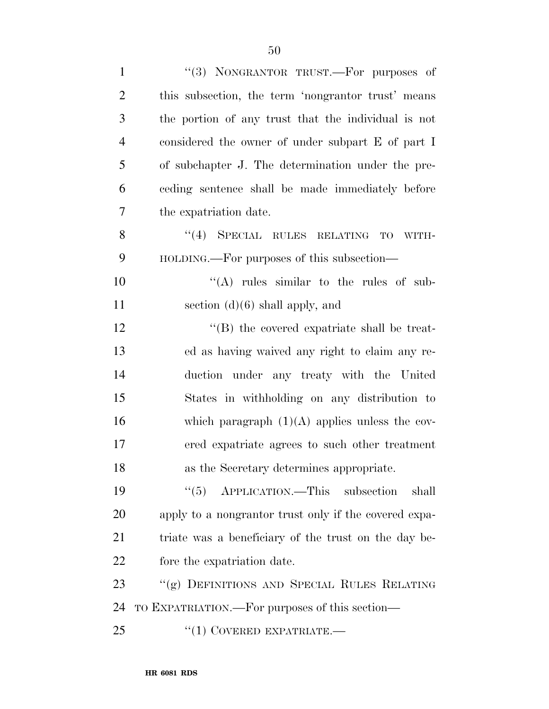| $\mathbf{1}$   | "(3) NONGRANTOR TRUST.—For purposes of                |
|----------------|-------------------------------------------------------|
| $\overline{2}$ | this subsection, the term 'nongrantor trust' means    |
| 3              | the portion of any trust that the individual is not   |
| $\overline{4}$ | considered the owner of under subpart E of part I     |
| 5              | of subchapter J. The determination under the pre-     |
| 6              | ceding sentence shall be made immediately before      |
| 7              | the expatriation date.                                |
| 8              | $(4)$ SPECIAL RULES RELATING<br>TO<br>WITH-           |
| 9              | HOLDING.—For purposes of this subsection—             |
| 10             | "(A) rules similar to the rules of sub-               |
| 11             | section $(d)(6)$ shall apply, and                     |
| 12             | "(B) the covered expatriate shall be treat-           |
| 13             | ed as having waived any right to claim any re-        |
| 14             | duction under any treaty with the United              |
| 15             | States in withholding on any distribution to          |
| 16             | which paragraph $(1)(A)$ applies unless the cov-      |
| 17             | ered expatriate agrees to such other treatment        |
| 18             | as the Secretary determines appropriate.              |
| 19             | APPLICATION.—This subsection<br>(6(5)<br>shall        |
| 20             | apply to a nongrantor trust only if the covered expa- |
| 21             | triate was a beneficiary of the trust on the day be-  |
| 22             | fore the expatriation date.                           |
| 23             | "(g) DEFINITIONS AND SPECIAL RULES RELATING           |
| 24             | TO EXPATRIATION.—For purposes of this section—        |
| 25             | $``(1)$ COVERED EXPATRIATE.—                          |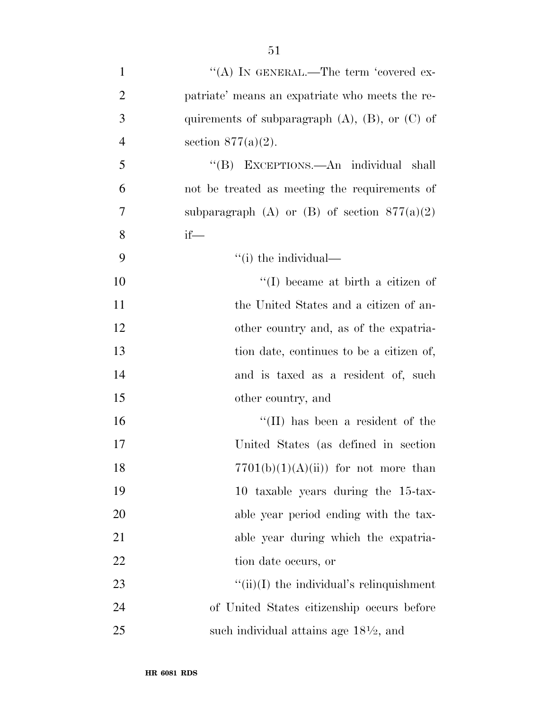- 1  $\langle A \rangle$  In GENERAL.—The term 'covered ex-2 patriate' means an expatriate who meets the re-3 quirements of subparagraph (A), (B), or (C) of 4 section  $877(a)(2)$ . 5 ''(B) EXCEPTIONS.—An individual shall 6 not be treated as meeting the requirements of 7 subparagraph (A) or (B) of section  $877(a)(2)$ 8 if— 9 ''(i) the individual— 10  $\text{``(I)}$  became at birth a citizen of 11 the United States and a citizen of an-12 other country and, as of the expatria-13 tion date, continues to be a citizen of, 14 and is taxed as a resident of, such 15 other country, and 16  $\text{``(II)}$  has been a resident of the 17 United States (as defined in section 18  $7701(b)(1)(A)(ii)$  for not more than 19 10 taxable years during the 15-tax-20 able year period ending with the tax-21 able year during which the expatria-22 tion date occurs, or
- 23  $\frac{f'(ii)}{I}$  the individual's relinquishment 24 of United States citizenship occurs before 25 such individual attains age  $18\frac{1}{2}$ , and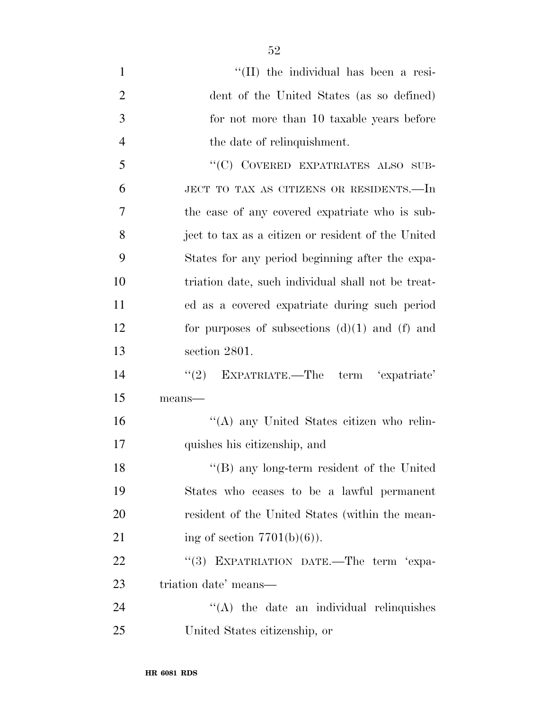| $\mathbf{1}$   | "(II) the individual has been a resi-              |
|----------------|----------------------------------------------------|
| $\overline{2}$ | dent of the United States (as so defined)          |
| 3              | for not more than 10 taxable years before          |
| $\overline{4}$ | the date of relinquishment.                        |
| 5              | "(C) COVERED EXPATRIATES ALSO SUB-                 |
| 6              | JECT TO TAX AS CITIZENS OR RESIDENTS.-In           |
| 7              | the case of any covered expatriate who is sub-     |
| 8              | ject to tax as a citizen or resident of the United |
| 9              | States for any period beginning after the expa-    |
| 10             | triation date, such individual shall not be treat- |
| 11             | ed as a covered expatriate during such period      |
| 12             | for purposes of subsections $(d)(1)$ and $(f)$ and |
| 13             | section 2801.                                      |
| 14             | "(2) EXPATRIATE.—The term 'expatriate'             |
| 15             | means-                                             |
| 16             | "(A) any United States citizen who relin-          |
| 17             | quishes his citizenship, and                       |
| 18             | $"$ (B) any long-term resident of the United       |
| 19             | States who ceases to be a lawful permanent         |
| 20             | resident of the United States (within the mean-    |
| 21             | ing of section $7701(b)(6)$ .                      |
| 22             | EXPATRIATION DATE.-The term 'expa-<br>(3)          |
| 23             | triation date' means—                              |
| 24             | $\lq\lq$ the date an individual relinquishes       |
| 25             | United States citizenship, or                      |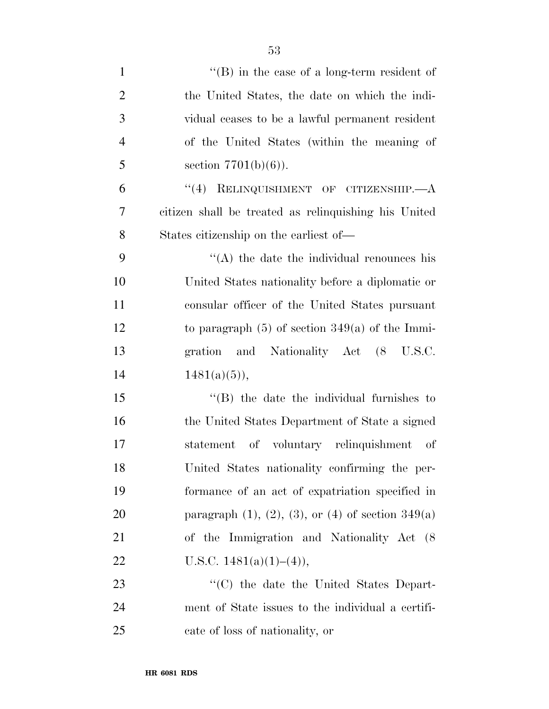| $\mathbf{1}$   | $\lq\lq (B)$ in the case of a long-term resident of            |
|----------------|----------------------------------------------------------------|
| $\overline{2}$ | the United States, the date on which the indi-                 |
| 3              | vidual ceases to be a lawful permanent resident                |
| $\overline{4}$ | of the United States (within the meaning of                    |
| 5              | section $7701(b)(6)$ ).                                        |
| 6              | "(4) RELINQUISHMENT OF CITIZENSHIP.—A                          |
| 7              | citizen shall be treated as relinquishing his United           |
| 8              | States citizenship on the earliest of—                         |
| 9              | $\lq\lq$ the date the individual renounces his                 |
| 10             | United States nationality before a diplomatic or               |
| 11             | consular officer of the United States pursuant                 |
| 12             | to paragraph $(5)$ of section 349(a) of the Immi-              |
| 13             | gration and Nationality Act (8 U.S.C.                          |
| 14             | $1481(a)(5)$ ,                                                 |
| 15             | $\lq$ (B) the date the individual furnishes to                 |
| 16             | the United States Department of State a signed                 |
| 17             | statement of voluntary relinquishment of                       |
| 18             | United States nationality confirming the per-                  |
| 19             | formance of an act of expatriation specified in                |
| 20             | paragraph $(1)$ , $(2)$ , $(3)$ , or $(4)$ of section $349(a)$ |
| 21             | of the Immigration and Nationality Act (8)                     |
| 22             | U.S.C. $1481(a)(1)–(4)$ ,                                      |
| 23             | "(C) the date the United States Depart-                        |
| 24             | ment of State issues to the individual a certifi-              |
| 25             | cate of loss of nationality, or                                |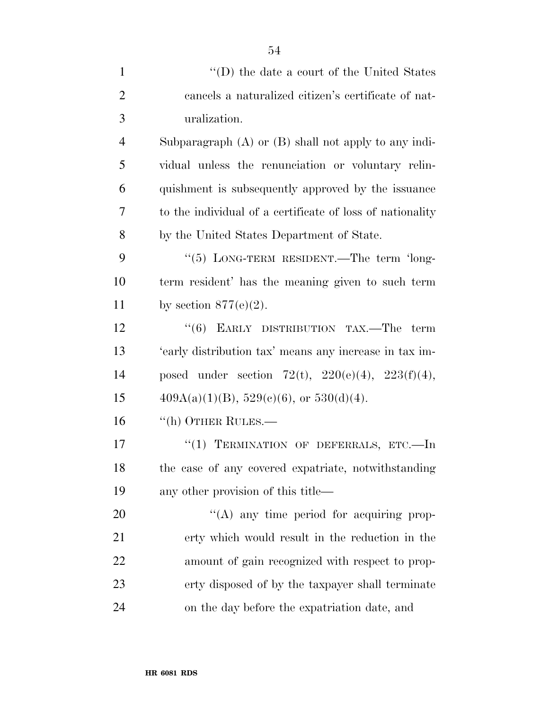| $\mathbf{1}$   | $\lq\lq$ (D) the date a court of the United States        |
|----------------|-----------------------------------------------------------|
| $\overline{2}$ | cancels a naturalized citizen's certificate of nat-       |
| 3              | uralization.                                              |
| $\overline{4}$ | Subparagraph $(A)$ or $(B)$ shall not apply to any indi-  |
| 5              | vidual unless the renunciation or voluntary relin-        |
| 6              | quishment is subsequently approved by the issuance        |
| $\overline{7}$ | to the individual of a certificate of loss of nationality |
| 8              | by the United States Department of State.                 |
| 9              | "(5) LONG-TERM RESIDENT.—The term 'long-                  |
| 10             | term resident' has the meaning given to such term         |
| 11             | by section $877(e)(2)$ .                                  |
| 12             | " $(6)$ EARLY DISTRIBUTION TAX.—The term                  |
| 13             | 'early distribution tax' means any increase in tax im-    |
| 14             | posed under section 72(t), $220(e)(4)$ , $223(f)(4)$ ,    |
| 15             | $409A(a)(1)(B)$ , $529(e)(6)$ , or $530(d)(4)$ .          |
| 16             | $\lq\lq$ (h) OTHER RULES.—                                |
| 17             | "(1) TERMINATION OF DEFERRALS, ETC.-In                    |
| 18             | the case of any covered expatriate, notwithstanding       |
| 19             | any other provision of this title—                        |
| 20             | $\lq\lq$ any time period for acquiring prop-              |
| 21             | erty which would result in the reduction in the           |
| 22             | amount of gain recognized with respect to prop-           |
| 23             | erty disposed of by the taxpayer shall terminate          |
| 24             | on the day before the expatriation date, and              |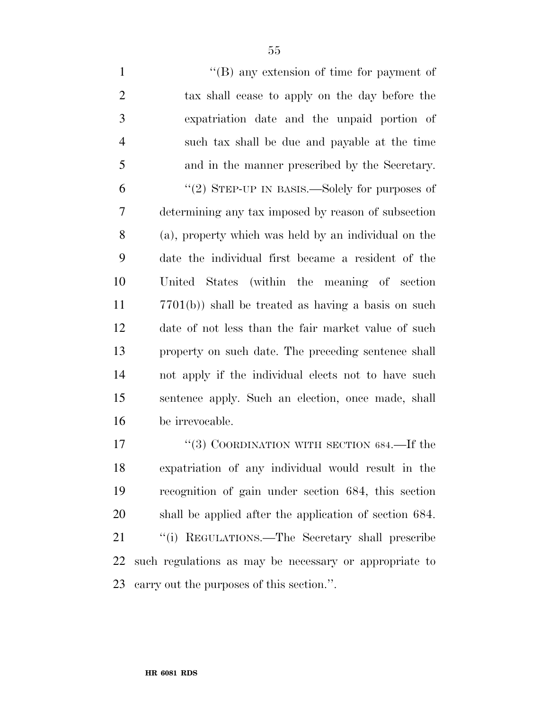1 ''(B) any extension of time for payment of tax shall cease to apply on the day before the expatriation date and the unpaid portion of such tax shall be due and payable at the time and in the manner prescribed by the Secretary. ''(2) STEP-UP IN BASIS.—Solely for purposes of determining any tax imposed by reason of subsection (a), property which was held by an individual on the date the individual first became a resident of the United States (within the meaning of section 7701(b)) shall be treated as having a basis on such date of not less than the fair market value of such property on such date. The preceding sentence shall not apply if the individual elects not to have such sentence apply. Such an election, once made, shall be irrevocable.

17 "(3) COORDINATION WITH SECTION 684.—If the expatriation of any individual would result in the recognition of gain under section 684, this section shall be applied after the application of section 684. 21 "(i) REGULATIONS.—The Secretary shall prescribe such regulations as may be necessary or appropriate to carry out the purposes of this section.''.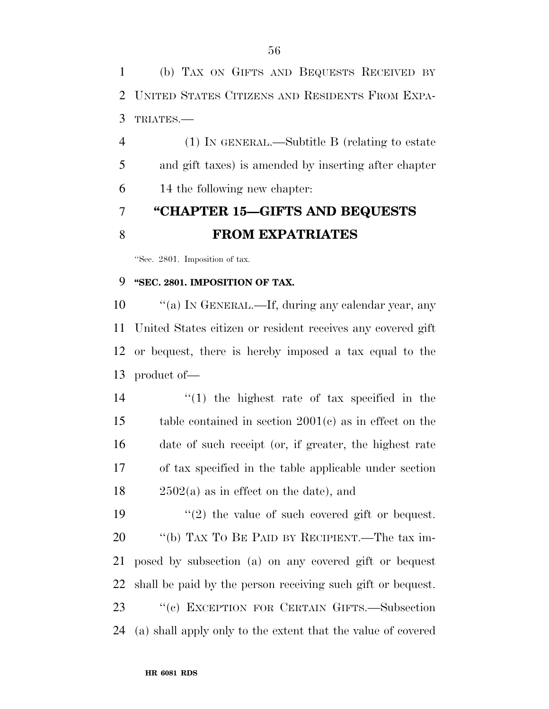(b) TAX ON GIFTS AND BEQUESTS RECEIVED BY UNITED STATES CITIZENS AND RESIDENTS FROM EXPA-TRIATES.—

 (1) IN GENERAL.—Subtitle B (relating to estate and gift taxes) is amended by inserting after chapter 14 the following new chapter:

### **''CHAPTER 15—GIFTS AND BEQUESTS FROM EXPATRIATES**

''Sec. 2801. Imposition of tax.

### **''SEC. 2801. IMPOSITION OF TAX.**

10 "(a) IN GENERAL.—If, during any calendar year, any United States citizen or resident receives any covered gift or bequest, there is hereby imposed a tax equal to the product of—

 ''(1) the highest rate of tax specified in the table contained in section 2001(c) as in effect on the date of such receipt (or, if greater, the highest rate of tax specified in the table applicable under section 2502(a) as in effect on the date), and

 $\frac{1}{2}$  the value of such covered gift or bequest. ''(b) TAX TO BE PAID BY RECIPIENT.—The tax im- posed by subsection (a) on any covered gift or bequest shall be paid by the person receiving such gift or bequest. ''(c) EXCEPTION FOR CERTAIN GIFTS.—Subsection (a) shall apply only to the extent that the value of covered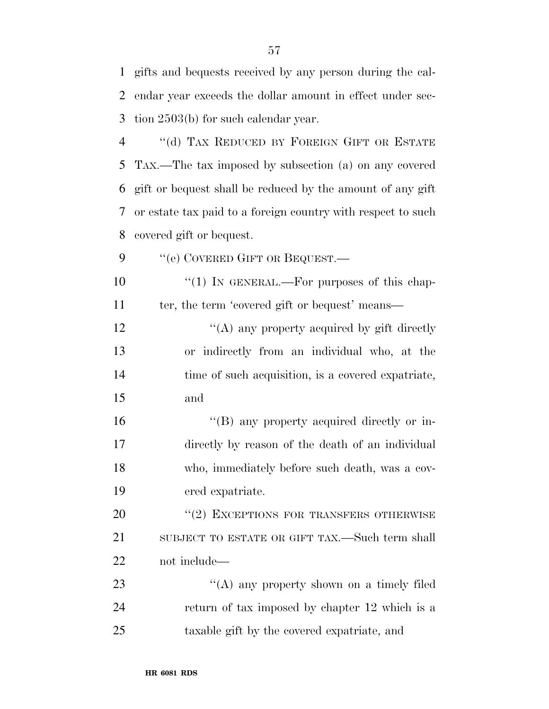gifts and bequests received by any person during the cal-

| 2              | endar year exceeds the dollar amount in effect under sec-    |
|----------------|--------------------------------------------------------------|
| 3              | tion $2503(b)$ for such calendar year.                       |
| $\overline{4}$ | "(d) TAX REDUCED BY FOREIGN GIFT OR ESTATE                   |
| 5              | TAX.—The tax imposed by subsection (a) on any covered        |
| 6              | gift or bequest shall be reduced by the amount of any gift   |
| 7              | or estate tax paid to a foreign country with respect to such |
| 8              | covered gift or bequest.                                     |
| 9              | "(e) COVERED GIFT OR BEQUEST.-                               |
| 10             | " $(1)$ IN GENERAL.—For purposes of this chap-               |
| 11             | ter, the term 'covered gift or bequest' means—               |
| 12             | "(A) any property acquired by gift directly                  |
| 13             | or indirectly from an individual who, at the                 |
| 14             | time of such acquisition, is a covered expatriate,           |
| 15             | and                                                          |
| 16             | "(B) any property acquired directly or in-                   |
| 17             | directly by reason of the death of an individual             |
| 18             | who, immediately before such death, was a cov-               |
| 19             | ered expatriate.                                             |
| 20             | "(2) EXCEPTIONS FOR TRANSFERS OTHERWISE                      |
| 21             | SUBJECT TO ESTATE OR GIFT TAX.—Such term shall               |
| 22             | not include—                                                 |
| 23             | "(A) any property shown on a timely filed                    |
| 24             | return of tax imposed by chapter 12 which is a               |
| 25             | taxable gift by the covered expatriate, and                  |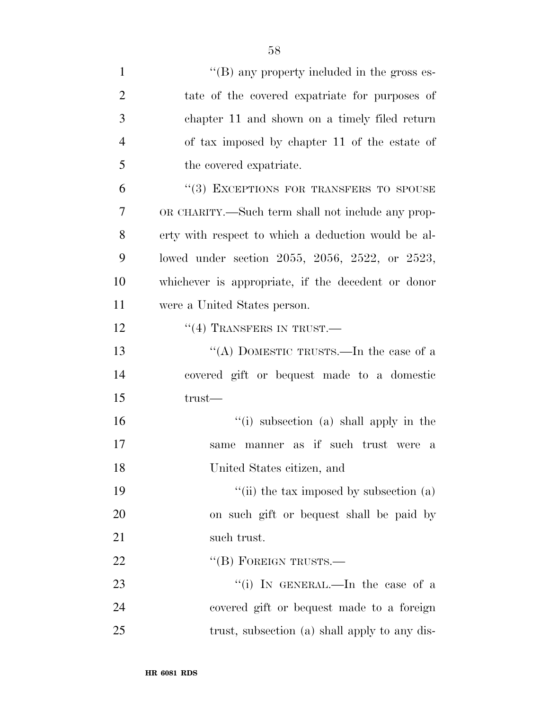| $\mathbf{1}$   | $\lq\lq (B)$ any property included in the gross es- |
|----------------|-----------------------------------------------------|
| $\overline{2}$ | tate of the covered expatriate for purposes of      |
| 3              | chapter 11 and shown on a timely filed return       |
| $\overline{4}$ | of tax imposed by chapter 11 of the estate of       |
| 5              | the covered expatriate.                             |
| 6              | "(3) EXCEPTIONS FOR TRANSFERS TO SPOUSE             |
| 7              | OR CHARITY.—Such term shall not include any prop-   |
| 8              | erty with respect to which a deduction would be al- |
| 9              | lowed under section 2055, 2056, 2522, or 2523,      |
| 10             | whichever is appropriate, if the decedent or donor  |
| 11             | were a United States person.                        |
| 12             | $``(4)$ TRANSFERS IN TRUST.—                        |
| 13             | "(A) DOMESTIC TRUSTS.—In the case of a              |
| 14             | covered gift or bequest made to a domestic          |
| 15             | $trust-$                                            |
| 16             | "(i) subsection (a) shall apply in the              |
| 17             | manner as if such trust were<br>same<br>a           |
| 18             | United States citizen, and                          |
| 19             | "(ii) the tax imposed by subsection (a)             |
| 20             | on such gift or bequest shall be paid by            |
| 21             | such trust.                                         |
| 22             | "(B) FOREIGN TRUSTS.—                               |
| 23             | "(i) IN GENERAL.—In the case of a                   |
| 24             | covered gift or bequest made to a foreign           |
| 25             | trust, subsection (a) shall apply to any dis-       |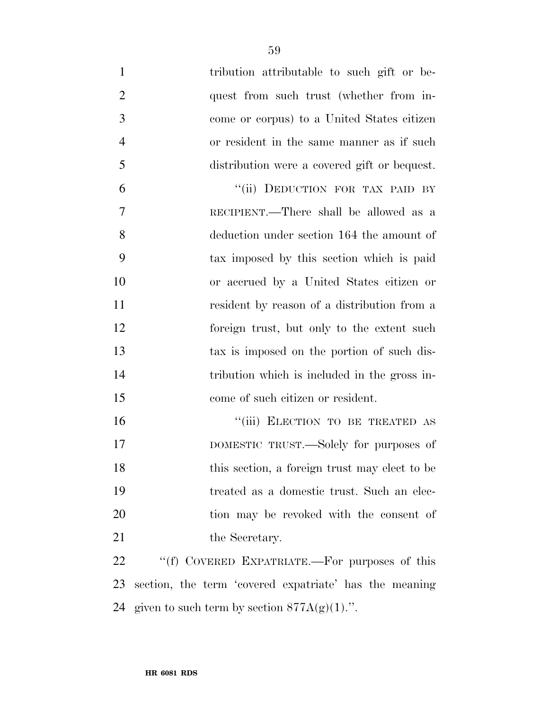| $\mathbf{1}$   | tribution attributable to such gift or be-             |
|----------------|--------------------------------------------------------|
| $\overline{2}$ | quest from such trust (whether from in-                |
| 3              | come or corpus) to a United States citizen             |
| $\overline{4}$ | or resident in the same manner as if such              |
| 5              | distribution were a covered gift or bequest.           |
| 6              | "(ii) DEDUCTION FOR TAX PAID BY                        |
| 7              | RECIPIENT.—There shall be allowed as a                 |
| 8              | deduction under section 164 the amount of              |
| 9              | tax imposed by this section which is paid              |
| 10             | or accrued by a United States citizen or               |
| 11             | resident by reason of a distribution from a            |
| 12             | foreign trust, but only to the extent such             |
| 13             | tax is imposed on the portion of such dis-             |
| 14             | tribution which is included in the gross in-           |
| 15             | come of such citizen or resident.                      |
| 16             | "(iii) ELECTION TO BE TREATED AS                       |
| 17             | DOMESTIC TRUST.—Solely for purposes of                 |
| 18             | this section, a foreign trust may elect to be          |
| 19             | treated as a domestic trust. Such an elec-             |
| 20             | tion may be revoked with the consent of                |
| 21             | the Secretary.                                         |
| 22             | "(f) COVERED EXPATRIATE.—For purposes of this          |
| 23             | section, the term 'covered expatriate' has the meaning |
| 24             | given to such term by section $877A(g)(1)$ .".         |
|                |                                                        |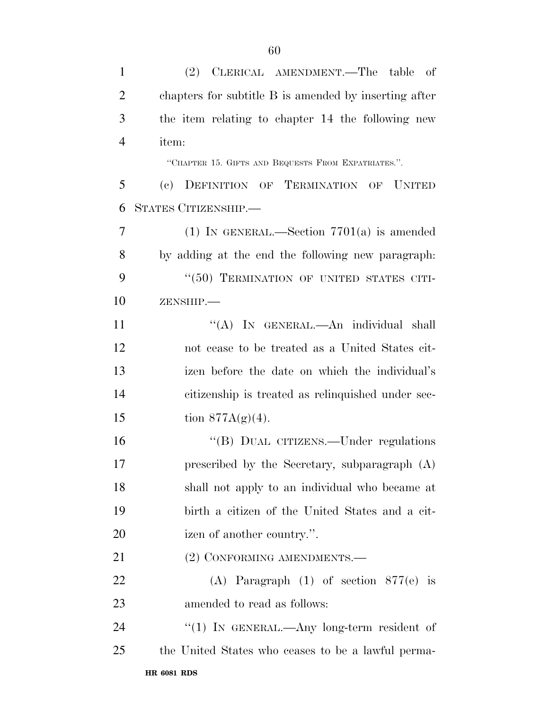(2) CLERICAL AMENDMENT.—The table of chapters for subtitle B is amended by inserting after the item relating to chapter 14 the following new item: ''CHAPTER 15. GIFTS AND BEQUESTS FROM EXPATRIATES.''. (c) DEFINITION OF TERMINATION OF UNITED STATES CITIZENSHIP.— (1) IN GENERAL.—Section 7701(a) is amended by adding at the end the following new paragraph: 9 "(50) TERMINATION OF UNITED STATES CITI- ZENSHIP.— 11 ""(A) In GENERAL.—An individual shall not cease to be treated as a United States cit- izen before the date on which the individual's citizenship is treated as relinquished under sec-15 tion  $877A(g)(4)$ . 16 "(B) DUAL CITIZENS.—Under regulations prescribed by the Secretary, subparagraph (A) shall not apply to an individual who became at birth a citizen of the United States and a cit- izen of another country.''. 21 (2) CONFORMING AMENDMENTS.— (A) Paragraph (1) of section 877(e) is amended to read as follows: 24 "(1) In GENERAL.—Any long-term resident of the United States who ceases to be a lawful perma-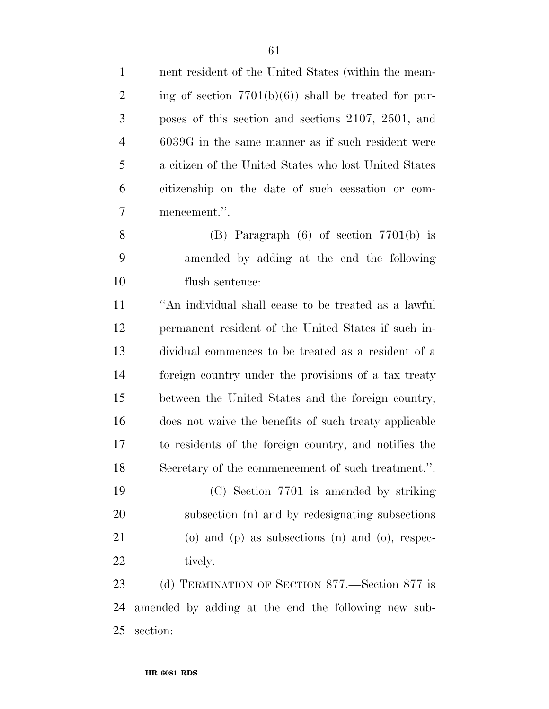nent resident of the United States (within the mean-2 ing of section  $7701(b)(6)$  shall be treated for pur- poses of this section and sections 2107, 2501, and 6039G in the same manner as if such resident were a citizen of the United States who lost United States citizenship on the date of such cessation or com- mencement.''. (B) Paragraph (6) of section 7701(b) is amended by adding at the end the following flush sentence: ''An individual shall cease to be treated as a lawful permanent resident of the United States if such in- dividual commences to be treated as a resident of a foreign country under the provisions of a tax treaty between the United States and the foreign country, does not waive the benefits of such treaty applicable

 to residents of the foreign country, and notifies the Secretary of the commencement of such treatment.''.

 (C) Section 7701 is amended by striking subsection (n) and by redesignating subsections (o) and (p) as subsections (n) and (o), respec-22 tively.

 (d) TERMINATION OF SECTION 877.—Section 877 is amended by adding at the end the following new sub-section: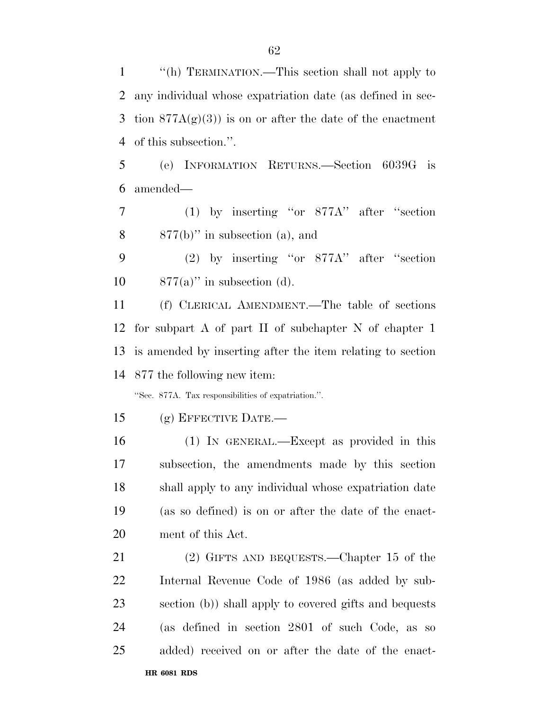''(h) TERMINATION.—This section shall not apply to any individual whose expatriation date (as defined in sec-3 tion  $877A(g)(3)$  is on or after the date of the enactment of this subsection.''.

 (e) INFORMATION RETURNS.—Section 6039G is amended—

 (1) by inserting ''or 877A'' after ''section 877(b)'' in subsection (a), and

 (2) by inserting ''or 877A'' after ''section 10  $877(a)$ " in subsection (d).

 (f) CLERICAL AMENDMENT.—The table of sections for subpart A of part II of subchapter N of chapter 1 is amended by inserting after the item relating to section 877 the following new item:

''Sec. 877A. Tax responsibilities of expatriation.''.

(g) EFFECTIVE DATE.—

 (1) IN GENERAL.—Except as provided in this subsection, the amendments made by this section shall apply to any individual whose expatriation date (as so defined) is on or after the date of the enact-ment of this Act.

 (2) GIFTS AND BEQUESTS.—Chapter 15 of the Internal Revenue Code of 1986 (as added by sub- section (b)) shall apply to covered gifts and bequests (as defined in section 2801 of such Code, as so added) received on or after the date of the enact-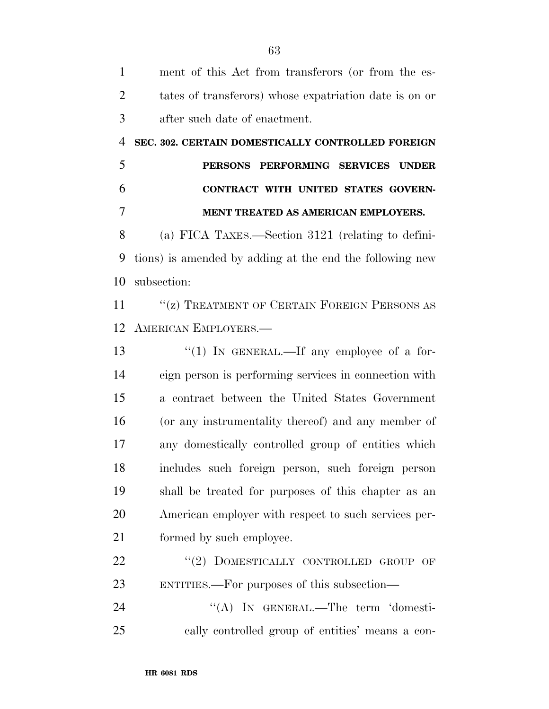| $\mathbf{1}$   | ment of this Act from transferors (or from the es-       |
|----------------|----------------------------------------------------------|
| $\overline{2}$ | tates of transferors) whose expatriation date is on or   |
| 3              | after such date of enactment.                            |
| $\overline{4}$ | SEC. 302. CERTAIN DOMESTICALLY CONTROLLED FOREIGN        |
| 5              | PERSONS PERFORMING SERVICES UNDER                        |
| 6              | CONTRACT WITH UNITED STATES GOVERN-                      |
| 7              | MENT TREATED AS AMERICAN EMPLOYERS.                      |
| 8              | (a) FICA TAXES.—Section 3121 (relating to defini-        |
| 9              | tions) is amended by adding at the end the following new |
| 10             | subsection:                                              |
| 11             | "(z) TREATMENT OF CERTAIN FOREIGN PERSONS AS             |
| 12             | <b>AMERICAN EMPLOYERS.—</b>                              |
| 13             | " $(1)$ IN GENERAL.—If any employee of a for-            |
| 14             | eign person is performing services in connection with    |
| 15             | a contract between the United States Government          |
| 16             | (or any instrumentality thereof) and any member of       |
| 17             | any domestically controlled group of entities which      |
| 18             | includes such foreign person, such foreign person        |
| 19             | shall be treated for purposes of this chapter as an      |
| 20             | American employer with respect to such services per-     |
| 21             | formed by such employee.                                 |
| 22             | DOMESTICALLY CONTROLLED GROUP OF<br>(2)                  |
| 23             | ENTITIES.—For purposes of this subsection—               |
| 24             | "(A) IN GENERAL.—The term 'domesti-                      |
| 25             | cally controlled group of entities' means a con-         |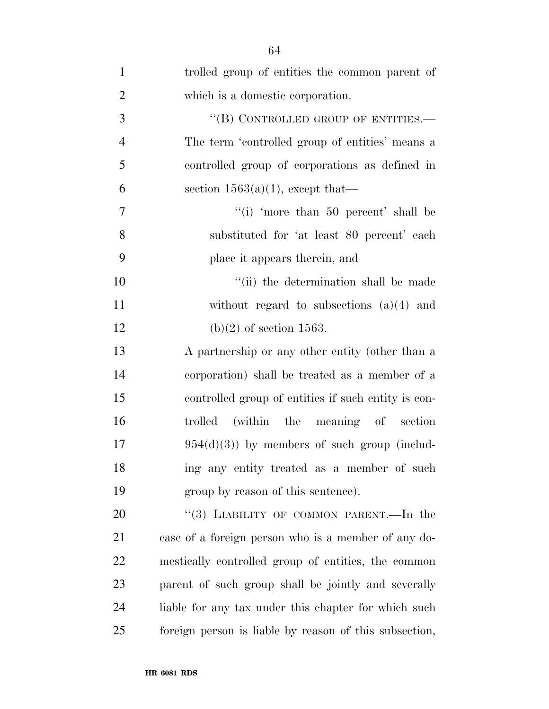| $\mathbf{1}$   | trolled group of entities the common parent of         |
|----------------|--------------------------------------------------------|
| $\overline{2}$ | which is a domestic corporation.                       |
| 3              | "(B) CONTROLLED GROUP OF ENTITIES.-                    |
| $\overline{4}$ | The term 'controlled group of entities' means a        |
| 5              | controlled group of corporations as defined in         |
| 6              | section $1563(a)(1)$ , except that—                    |
| 7              | "(i) 'more than $50$ percent' shall be                 |
| 8              | substituted for 'at least 80 percent' each             |
| 9              | place it appears therein, and                          |
| 10             | "(ii) the determination shall be made                  |
| 11             | without regard to subsections $(a)(4)$ and             |
| 12             | $(b)(2)$ of section 1563.                              |
| 13             | A partnership or any other entity (other than a        |
| 14             | corporation) shall be treated as a member of a         |
| 15             | controlled group of entities if such entity is con-    |
| 16             | trolled (within the meaning of section                 |
| 17             | $954(d)(3)$ by members of such group (includ-          |
| 18             | ing any entity treated as a member of such             |
| 19             | group by reason of this sentence).                     |
| 20             | "(3) LIABILITY OF COMMON PARENT.—In the                |
| 21             | case of a foreign person who is a member of any do-    |
| 22             | mestically controlled group of entities, the common    |
| 23             | parent of such group shall be jointly and severally    |
| 24             | liable for any tax under this chapter for which such   |
| 25             | foreign person is liable by reason of this subsection, |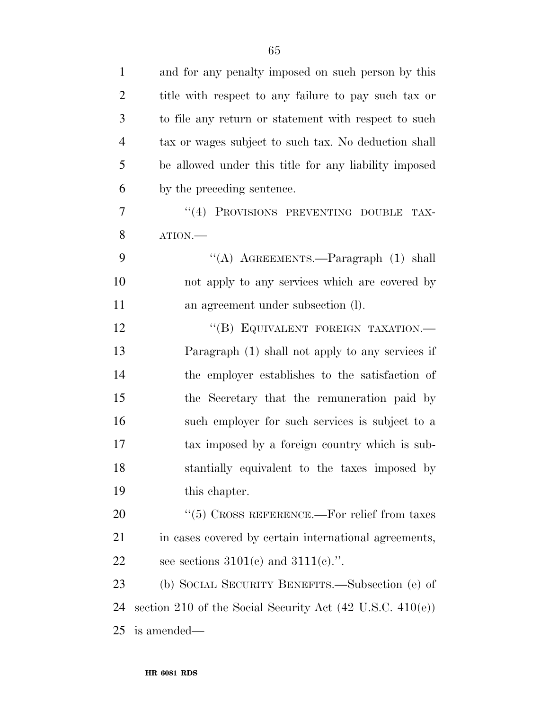| $\mathbf{1}$   | and for any penalty imposed on such person by this                   |
|----------------|----------------------------------------------------------------------|
| $\overline{2}$ | title with respect to any failure to pay such tax or                 |
| 3              | to file any return or statement with respect to such                 |
| $\overline{4}$ | tax or wages subject to such tax. No deduction shall                 |
| 5              | be allowed under this title for any liability imposed                |
| 6              | by the preceding sentence.                                           |
| 7              | "(4) PROVISIONS PREVENTING DOUBLE<br>TAX-                            |
| 8              | ATION.                                                               |
| 9              | "(A) AGREEMENTS.—Paragraph $(1)$ shall                               |
| 10             | not apply to any services which are covered by                       |
| 11             | an agreement under subsection (l).                                   |
| 12             | "(B) EQUIVALENT FOREIGN TAXATION.-                                   |
| 13             | Paragraph (1) shall not apply to any services if                     |
| 14             | the employer establishes to the satisfaction of                      |
| 15             | the Secretary that the remuneration paid by                          |
| 16             | such employer for such services is subject to a                      |
| 17             | tax imposed by a foreign country which is sub-                       |
| 18             | stantially equivalent to the taxes imposed by                        |
| 19             | this chapter.                                                        |
| 20             | $``(5)$ CROSS REFERENCE.—For relief from taxes                       |
| 21             | in cases covered by certain international agreements,                |
| 22             | see sections $3101(c)$ and $3111(c)$ .".                             |
| 23             | (b) SOCIAL SECURITY BENEFITS.—Subsection (e) of                      |
| 24             | section 210 of the Social Security Act $(42 \text{ U.S.C. } 410(e))$ |
| 25             | is amended—                                                          |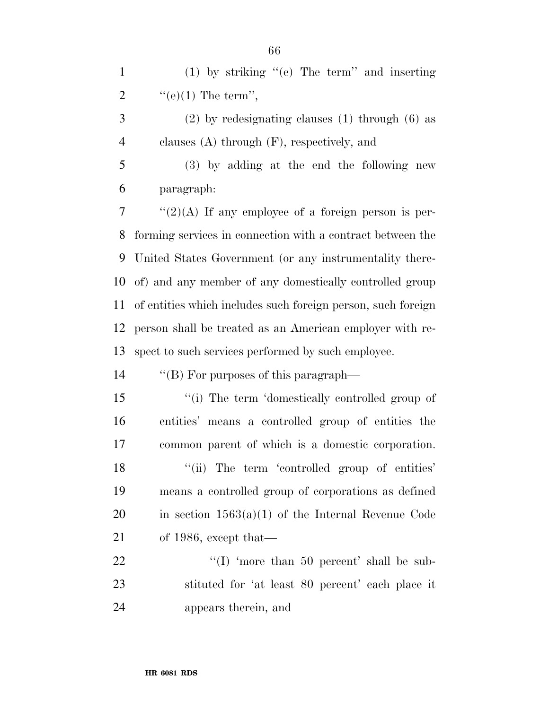(1) by striking ''(e) The term'' and inserting 2  $\text{``(e)(1) The term''},$ 

 (2) by redesignating clauses (1) through (6) as clauses (A) through (F), respectively, and

 (3) by adding at the end the following new paragraph:

 ''(2)(A) If any employee of a foreign person is per- forming services in connection with a contract between the United States Government (or any instrumentality there- of) and any member of any domestically controlled group of entities which includes such foreign person, such foreign person shall be treated as an American employer with re-spect to such services performed by such employee.

''(B) For purposes of this paragraph—

15 ''(i) The term 'domestically controlled group of entities' means a controlled group of entities the common parent of which is a domestic corporation. 18 "(ii) The term 'controlled group of entities' means a controlled group of corporations as defined 20 in section  $1563(a)(1)$  of the Internal Revenue Code of 1986, except that—

22 "'(I) 'more than 50 percent' shall be sub- stituted for 'at least 80 percent' each place it appears therein, and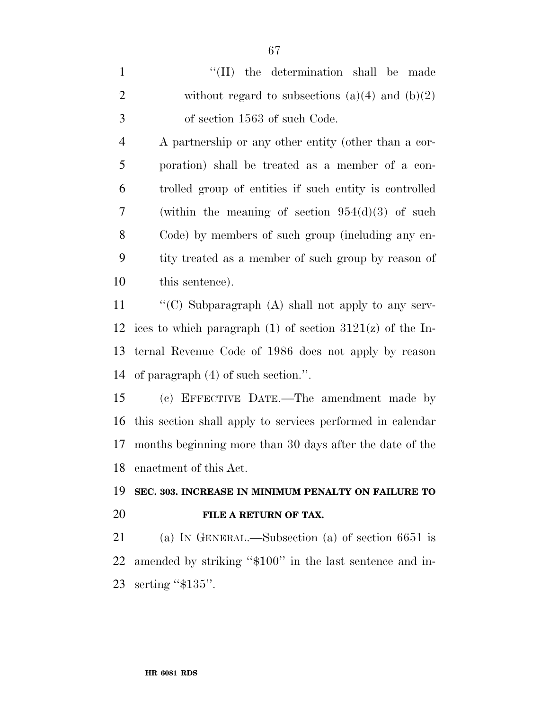| $\mathbf{1}$   | "(II) the determination shall be made                         |
|----------------|---------------------------------------------------------------|
| $\overline{2}$ | without regard to subsections $(a)(4)$ and $(b)(2)$           |
| $\mathfrak{Z}$ | of section 1563 of such Code.                                 |
| $\overline{4}$ | A partnership or any other entity (other than a cor-          |
| 5              | poration) shall be treated as a member of a con-              |
| 6              | trolled group of entities if such entity is controlled        |
| $\overline{7}$ | (within the meaning of section $954(d)(3)$ of such            |
| 8              | Code) by members of such group (including any en-             |
| 9              | tity treated as a member of such group by reason of           |
| 10             | this sentence).                                               |
| 11             | "(C) Subparagraph $(A)$ shall not apply to any serv-          |
| 12             | ices to which paragraph $(1)$ of section $3121(z)$ of the In- |
| 13             | ternal Revenue Code of 1986 does not apply by reason          |
| 14             | of paragraph $(4)$ of such section.".                         |
| 15             | (c) EFFECTIVE DATE.—The amendment made by                     |
| 16             | this section shall apply to services performed in calendar    |
| 17             | months beginning more than 30 days after the date of the      |
| 18             | enactment of this Act.                                        |
| 19             | SEC. 303. INCREASE IN MINIMUM PENALTY ON FAILURE TO           |
| 20             | FILE A RETURN OF TAX.                                         |
| 21             | (a) IN GENERAL.—Subsection (a) of section $6651$ is           |
| 22             | amended by striking "\$100" in the last sentence and in-      |

serting ''\$135''.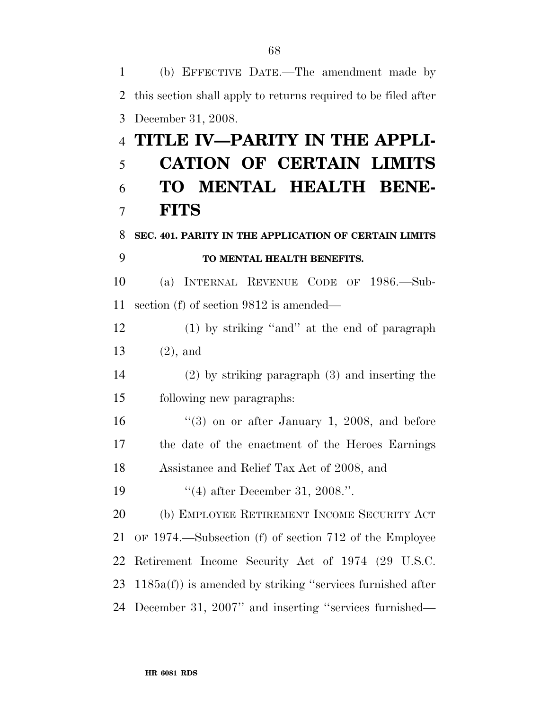(b) EFFECTIVE DATE.—The amendment made by this section shall apply to returns required to be filed after December 31, 2008. **TITLE IV—PARITY IN THE APPLI- CATION OF CERTAIN LIMITS TO MENTAL HEALTH BENE- FITS SEC. 401. PARITY IN THE APPLICATION OF CERTAIN LIMITS TO MENTAL HEALTH BENEFITS.**  (a) INTERNAL REVENUE CODE OF 1986.—Sub- section (f) of section 9812 is amended— (1) by striking ''and'' at the end of paragraph (2), and (2) by striking paragraph (3) and inserting the following new paragraphs:  $\frac{16}{16}$  ''(3) on or after January 1, 2008, and before the date of the enactment of the Heroes Earnings Assistance and Relief Tax Act of 2008, and 19 ''(4) after December 31, 2008.". (b) EMPLOYEE RETIREMENT INCOME SECURITY ACT OF 1974.—Subsection (f) of section 712 of the Employee Retirement Income Security Act of 1974 (29 U.S.C. 1185a(f)) is amended by striking ''services furnished after December 31, 2007'' and inserting ''services furnished—